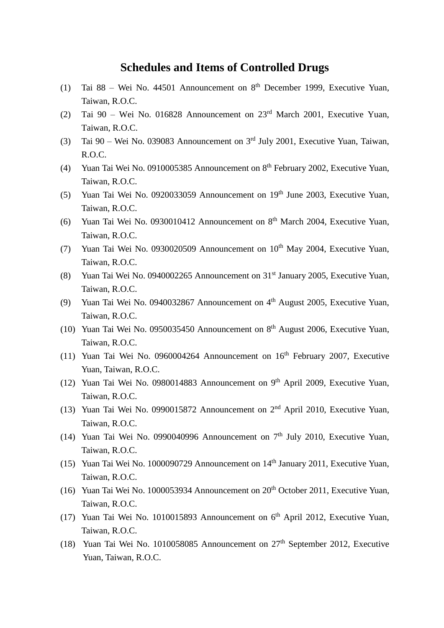#### **Schedules and Items of Controlled Drugs**

- (1) Tai  $88$  Wei No. 44501 Announcement on  $8<sup>th</sup>$  December 1999, Executive Yuan, Taiwan, R.O.C.
- (2) Tai 90 Wei No. 016828 Announcement on 23rd March 2001, Executive Yuan, Taiwan, R.O.C.
- (3) Tai  $90 -$  Wei No. 039083 Announcement on  $3<sup>rd</sup>$  July 2001, Executive Yuan, Taiwan, R.O.C.
- (4) Yuan Tai Wei No. 0910005385 Announcement on 8<sup>th</sup> February 2002, Executive Yuan, Taiwan, R.O.C.
- (5) Yuan Tai Wei No. 0920033059 Announcement on  $19<sup>th</sup>$  June 2003, Executive Yuan, Taiwan, R.O.C.
- (6) Yuan Tai Wei No. 0930010412 Announcement on  $8<sup>th</sup>$  March 2004, Executive Yuan, Taiwan, R.O.C.
- (7) Yuan Tai Wei No. 0930020509 Announcement on 10<sup>th</sup> May 2004, Executive Yuan, Taiwan, R.O.C.
- (8) Yuan Tai Wei No. 0940002265 Announcement on 31st January 2005, Executive Yuan, Taiwan, R.O.C.
- (9) Yuan Tai Wei No. 0940032867 Announcement on 4<sup>th</sup> August 2005, Executive Yuan, Taiwan, R.O.C.
- (10) Yuan Tai Wei No. 0950035450 Announcement on  $8<sup>th</sup>$  August 2006, Executive Yuan, Taiwan, R.O.C.
- (11) Yuan Tai Wei No. 0960004264 Announcement on  $16<sup>th</sup>$  February 2007, Executive Yuan, Taiwan, R.O.C.
- (12) Yuan Tai Wei No. 0980014883 Announcement on 9<sup>th</sup> April 2009, Executive Yuan, Taiwan, R.O.C.
- (13) Yuan Tai Wei No. 0990015872 Announcement on  $2<sup>nd</sup>$  April 2010, Executive Yuan, Taiwan, R.O.C.
- (14) Yuan Tai Wei No. 0990040996 Announcement on  $7<sup>th</sup>$  July 2010, Executive Yuan, Taiwan, R.O.C.
- (15) Yuan Tai Wei No. 1000090729 Announcement on  $14<sup>th</sup>$  January 2011, Executive Yuan, Taiwan, R.O.C.
- (16) Yuan Tai Wei No. 1000053934 Announcement on  $20<sup>th</sup>$  October 2011, Executive Yuan. Taiwan, R.O.C.
- (17) Yuan Tai Wei No. 1010015893 Announcement on  $6<sup>th</sup>$  April 2012, Executive Yuan, Taiwan, R.O.C.
- (18) Yuan Tai Wei No. 1010058085 Announcement on  $27<sup>th</sup>$  September 2012, Executive Yuan, Taiwan, R.O.C.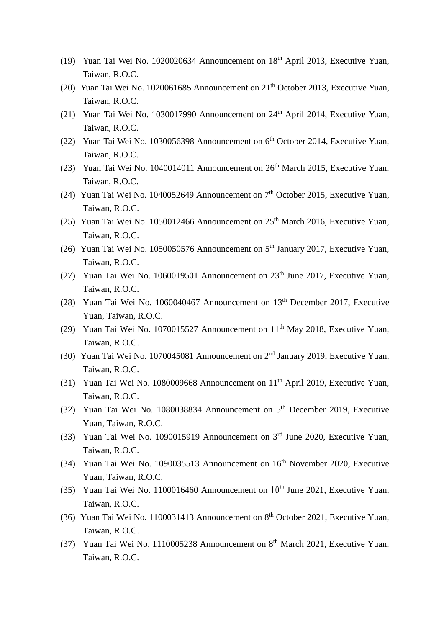- (19) Yuan Tai Wei No. 1020020634 Announcement on  $18<sup>th</sup>$  April 2013, Executive Yuan, Taiwan, R.O.C.
- (20) Yuan Tai Wei No. 1020061685 Announcement on  $21<sup>th</sup>$  October 2013, Executive Yuan, Taiwan, R.O.C.
- (21) Yuan Tai Wei No. 1030017990 Announcement on 24<sup>th</sup> April 2014, Executive Yuan, Taiwan, R.O.C.
- (22) Yuan Tai Wei No. 1030056398 Announcement on 6<sup>th</sup> October 2014, Executive Yuan, Taiwan, R.O.C.
- (23) Yuan Tai Wei No. 1040014011 Announcement on  $26<sup>th</sup>$  March 2015, Executive Yuan, Taiwan, R.O.C.
- (24) Yuan Tai Wei No. 1040052649 Announcement on 7<sup>th</sup> October 2015, Executive Yuan, Taiwan, R.O.C.
- (25) Yuan Tai Wei No. 1050012466 Announcement on 25th March 2016, Executive Yuan, Taiwan, R.O.C.
- (26) Yuan Tai Wei No. 1050050576 Announcement on 5<sup>th</sup> January 2017, Executive Yuan, Taiwan, R.O.C.
- (27) Yuan Tai Wei No. 1060019501 Announcement on  $23<sup>th</sup>$  June 2017, Executive Yuan, Taiwan, R.O.C.
- (28) Yuan Tai Wei No. 1060040467 Announcement on 13th December 2017, Executive Yuan, Taiwan, R.O.C.
- (29) Yuan Tai Wei No. 1070015527 Announcement on  $11<sup>th</sup>$  May 2018, Executive Yuan, Taiwan, R.O.C.
- (30) Yuan Tai Wei No. 1070045081 Announcement on 2<sup>nd</sup> January 2019, Executive Yuan, Taiwan, R.O.C.
- (31) Yuan Tai Wei No. 1080009668 Announcement on 11<sup>th</sup> April 2019, Executive Yuan, Taiwan, R.O.C.
- (32) Yuan Tai Wei No. 1080038834 Announcement on 5<sup>th</sup> December 2019, Executive Yuan, Taiwan, R.O.C.
- (33) Yuan Tai Wei No. 1090015919 Announcement on 3<sup>rd</sup> June 2020, Executive Yuan, Taiwan, R.O.C.
- (34) Yuan Tai Wei No. 1090035513 Announcement on 16<sup>th</sup> November 2020, Executive Yuan, Taiwan, R.O.C.
- (35) Yuan Tai Wei No. 1100016460 Announcement on  $10^{th}$  June 2021, Executive Yuan, Taiwan, R.O.C.
- (36) Yuan Tai Wei No. 1100031413 Announcement on 8<sup>th</sup> October 2021, Executive Yuan, Taiwan, R.O.C.
- (37) Yuan Tai Wei No. 1110005238 Announcement on  $8<sup>th</sup>$  March 2021, Executive Yuan, Taiwan, R.O.C.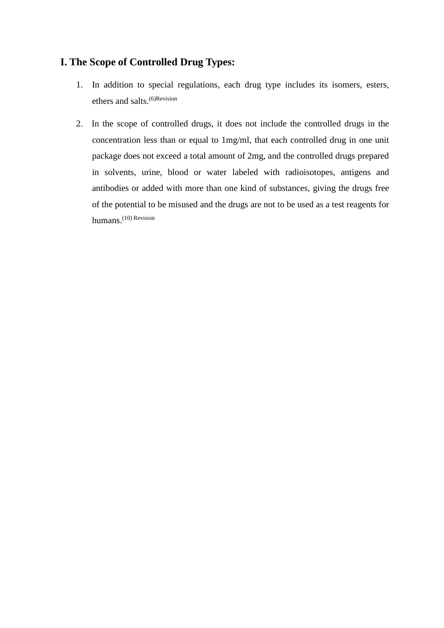#### **I. The Scope of Controlled Drug Types:**

- 1. In addition to special regulations, each drug type includes its isomers, esters, ethers and salts.<sup>(6)Revision</sup>
- 2. In the scope of controlled drugs, it does not include the controlled drugs in the concentration less than or equal to 1mg/ml, that each controlled drug in one unit package does not exceed a total amount of 2mg, and the controlled drugs prepared in solvents, urine, blood or water labeled with radioisotopes, antigens and antibodies or added with more than one kind of substances, giving the drugs free of the potential to be misused and the drugs are not to be used as a test reagents for humans.<sup>(10)</sup> Revision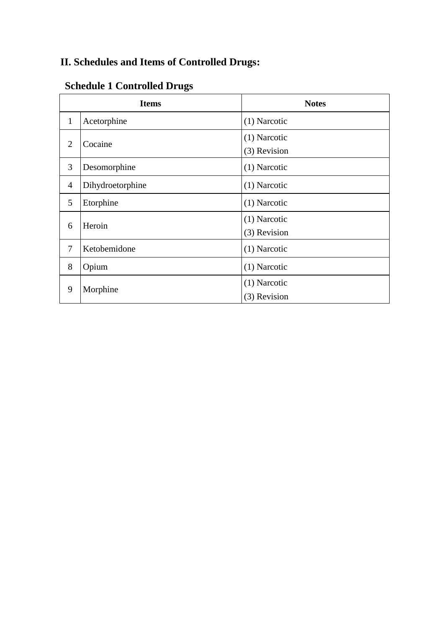#### **II. Schedules and Items of Controlled Drugs:**

| <b>Items</b>   |                  | <b>Notes</b>                 |
|----------------|------------------|------------------------------|
| $\mathbf{1}$   | Acetorphine      | (1) Narcotic                 |
| 2              | Cocaine          | (1) Narcotic<br>(3) Revision |
| 3              | Desomorphine     | (1) Narcotic                 |
| $\overline{4}$ | Dihydroetorphine | (1) Narcotic                 |
| 5              | Etorphine        | (1) Narcotic                 |
| 6              | Heroin           | (1) Narcotic<br>(3) Revision |
| 7              | Ketobemidone     | (1) Narcotic                 |
| 8              | Opium            | (1) Narcotic                 |
| 9              | Morphine         | (1) Narcotic<br>(3) Revision |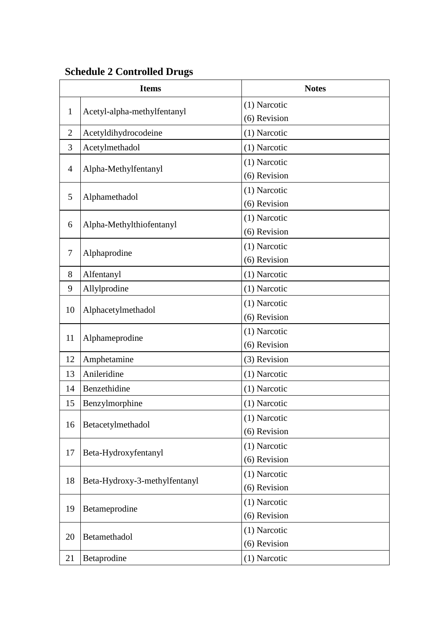| <b>Items</b>   |                               | <b>Notes</b>   |
|----------------|-------------------------------|----------------|
|                | Acetyl-alpha-methylfentanyl   | (1) Narcotic   |
| $\mathbf{1}$   |                               | (6) Revision   |
| $\overline{2}$ | Acetyldihydrocodeine          | (1) Narcotic   |
| 3              | Acetylmethadol                | $(1)$ Narcotic |
|                | Alpha-Methylfentanyl          | (1) Narcotic   |
| $\overline{4}$ |                               | (6) Revision   |
|                | Alphamethadol                 | $(1)$ Narcotic |
| 5              |                               | (6) Revision   |
|                |                               | (1) Narcotic   |
| 6              | Alpha-Methylthiofentanyl      | (6) Revision   |
| $\tau$         |                               | (1) Narcotic   |
|                | Alphaprodine                  | (6) Revision   |
| 8              | Alfentanyl                    | (1) Narcotic   |
| 9              | Allylprodine                  | $(1)$ Narcotic |
|                |                               | $(1)$ Narcotic |
| 10             | Alphacetylmethadol            | (6) Revision   |
| 11             | Alphameprodine                | $(1)$ Narcotic |
|                |                               | (6) Revision   |
| 12             | Amphetamine                   | (3) Revision   |
| 13             | Anileridine                   | (1) Narcotic   |
| 14             | Benzethidine                  | (1) Narcotic   |
| 15             | Benzylmorphine                | $(1)$ Narcotic |
|                |                               | (1) Narcotic   |
| 16             | Betacetylmethadol             | (6) Revision   |
|                |                               | (1) Narcotic   |
| 17             | Beta-Hydroxyfentanyl          | (6) Revision   |
| 18             |                               | (1) Narcotic   |
|                | Beta-Hydroxy-3-methylfentanyl | (6) Revision   |
| 19             |                               | (1) Narcotic   |
|                | Betameprodine                 | (6) Revision   |
| 20             | Betamethadol                  | $(1)$ Narcotic |
|                |                               | (6) Revision   |
| 21             | Betaprodine                   | (1) Narcotic   |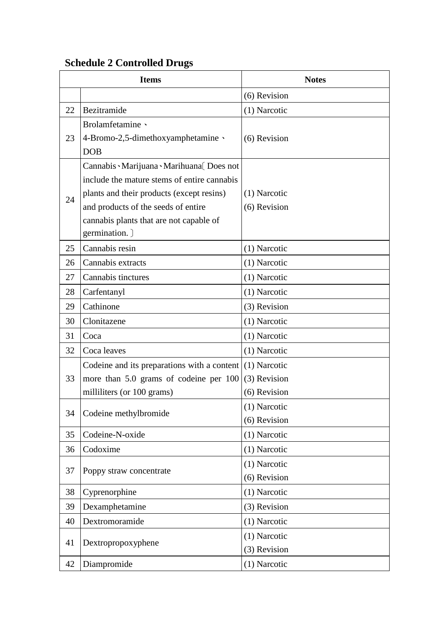|    | <b>Items</b>                                | <b>Notes</b>   |
|----|---------------------------------------------|----------------|
|    |                                             | (6) Revision   |
| 22 | Bezitramide                                 | (1) Narcotic   |
|    | Brolamfetamine \                            |                |
| 23 | 4-Bromo-2,5-dimethoxyamphetamine \          | (6) Revision   |
|    | <b>DOB</b>                                  |                |
|    | Cannabis Marijuana Marihuana [Does not      |                |
|    | include the mature stems of entire cannabis |                |
| 24 | plants and their products (except resins)   | $(1)$ Narcotic |
|    | and products of the seeds of entire         | (6) Revision   |
|    | cannabis plants that are not capable of     |                |
|    | germination. )                              |                |
| 25 | Cannabis resin                              | (1) Narcotic   |
| 26 | Cannabis extracts                           | (1) Narcotic   |
| 27 | Cannabis tinctures                          | (1) Narcotic   |
| 28 | Carfentanyl                                 | (1) Narcotic   |
| 29 | Cathinone                                   | (3) Revision   |
| 30 | Clonitazene                                 | (1) Narcotic   |
| 31 | Coca                                        | (1) Narcotic   |
| 32 | Coca leaves                                 | (1) Narcotic   |
|    | Codeine and its preparations with a content | (1) Narcotic   |
| 33 | more than 5.0 grams of codeine per 100      | (3) Revision   |
|    | milliliters (or 100 grams)                  | (6) Revision   |
| 34 | Codeine methylbromide                       | (1) Narcotic   |
|    |                                             | (6) Revision   |
| 35 | Codeine-N-oxide                             | (1) Narcotic   |
| 36 | Codoxime                                    | (1) Narcotic   |
| 37 | Poppy straw concentrate                     | (1) Narcotic   |
|    |                                             | (6) Revision   |
| 38 | Cyprenorphine                               | (1) Narcotic   |
| 39 | Dexamphetamine                              | (3) Revision   |
| 40 | Dextromoramide                              | (1) Narcotic   |
|    |                                             | (1) Narcotic   |
| 41 | Dextropropoxyphene                          | (3) Revision   |
| 42 | Diampromide                                 | (1) Narcotic   |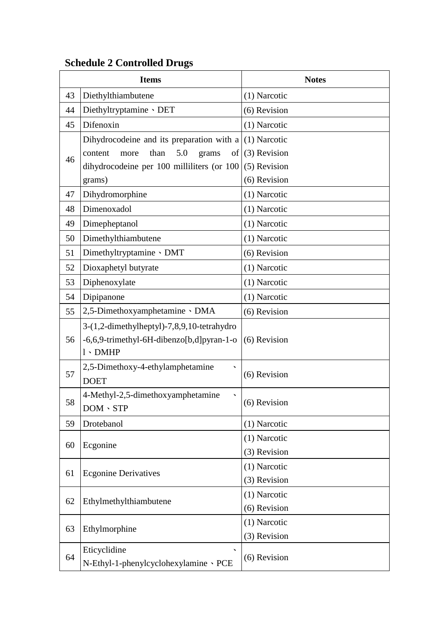|    | <b>Items</b>                                  | <b>Notes</b> |
|----|-----------------------------------------------|--------------|
| 43 | Diethylthiambutene                            | (1) Narcotic |
| 44 | Diethyltryptamine 、DET                        | (6) Revision |
| 45 | Difenoxin                                     | (1) Narcotic |
|    | Dihydrocodeine and its preparation with a     | (1) Narcotic |
| 46 | 5.0<br>than<br>of<br>content<br>more<br>grams | (3) Revision |
|    | dihydrocodeine per 100 milliliters (or 100    | (5) Revision |
|    | grams)                                        | (6) Revision |
| 47 | Dihydromorphine                               | (1) Narcotic |
| 48 | Dimenoxadol                                   | (1) Narcotic |
| 49 | Dimepheptanol                                 | (1) Narcotic |
| 50 | Dimethylthiambutene                           | (1) Narcotic |
| 51 | Dimethyltryptamine · DMT                      | (6) Revision |
| 52 | Dioxaphetyl butyrate                          | (1) Narcotic |
| 53 | Diphenoxylate                                 | (1) Narcotic |
| 54 | Dipipanone                                    | (1) Narcotic |
| 55 | 2,5-Dimethoxyamphetamine · DMA                | (6) Revision |
|    | 3-(1,2-dimethylheptyl)-7,8,9,10-tetrahydro    |              |
| 56 | -6,6,9-trimethyl-6H-dibenzo[b,d]pyran-1-o     | (6) Revision |
|    | $1 \cdot DMHP$                                |              |
| 57 | 2,5-Dimethoxy-4-ethylamphetamine              | (6) Revision |
|    | <b>DOET</b>                                   |              |
| 58 | 4-Methyl-2,5-dimethoxyamphetamine             | (6) Revision |
|    | $DOM \cdot STP$                               |              |
| 59 | Drotebanol                                    | (1) Narcotic |
| 60 | Ecgonine                                      | (1) Narcotic |
|    |                                               | (3) Revision |
| 61 | <b>Ecgonine Derivatives</b>                   | (1) Narcotic |
|    |                                               | (3) Revision |
| 62 | Ethylmethylthiambutene                        | (1) Narcotic |
|    |                                               | (6) Revision |
| 63 | Ethylmorphine                                 | (1) Narcotic |
|    |                                               | (3) Revision |
| 64 | Eticyclidine                                  | (6) Revision |
|    | N-Ethyl-1-phenylcyclohexylamine · PCE         |              |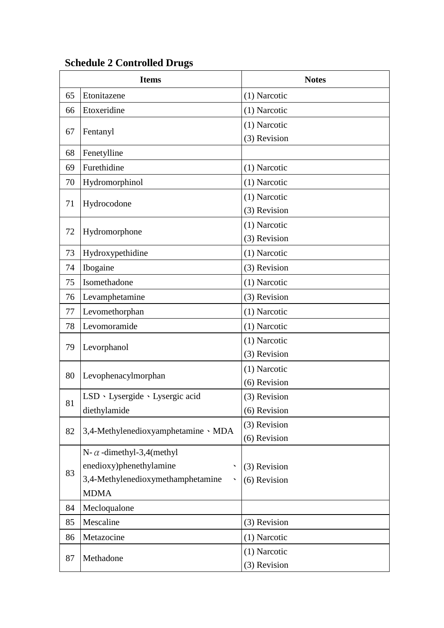| <b>Items</b> |                                         | <b>Notes</b> |
|--------------|-----------------------------------------|--------------|
| 65           | Etonitazene                             | (1) Narcotic |
| 66           | Etoxeridine                             | (1) Narcotic |
| 67           | Fentanyl                                | (1) Narcotic |
|              |                                         | (3) Revision |
| 68           | Fenetylline                             |              |
| 69           | Furethidine                             | (1) Narcotic |
| 70           | Hydromorphinol                          | (1) Narcotic |
| 71           |                                         | (1) Narcotic |
|              | Hydrocodone                             | (3) Revision |
| 72           | Hydromorphone                           | (1) Narcotic |
|              |                                         | (3) Revision |
| 73           | Hydroxypethidine                        | (1) Narcotic |
| 74           | Ibogaine                                | (3) Revision |
| 75           | Isomethadone                            | (1) Narcotic |
| 76           | Levamphetamine                          | (3) Revision |
| 77           | Levomethorphan                          | (1) Narcotic |
| 78           | Levomoramide                            | (1) Narcotic |
|              | Levorphanol                             | (1) Narcotic |
| 79           |                                         | (3) Revision |
| 80           | Levophenacylmorphan                     | (1) Narcotic |
|              |                                         | (6) Revision |
| 81           | LSD · Lysergide · Lysergic acid         | (3) Revision |
|              | diethylamide                            | (6) Revision |
| 82           | 3,4-Methylenedioxyamphetamine · MDA     | (3) Revision |
|              |                                         | (6) Revision |
|              | N- $\alpha$ -dimethyl-3,4(methyl        |              |
| 83           | enedioxy)phenethylamine<br>$\checkmark$ | (3) Revision |
|              | 3,4-Methylenedioxymethamphetamine       | (6) Revision |
|              | <b>MDMA</b>                             |              |
| 84           | Mecloqualone                            |              |
| 85           | Mescaline                               | (3) Revision |
| 86           | Metazocine                              | (1) Narcotic |
| 87           | Methadone                               | (1) Narcotic |
|              |                                         | (3) Revision |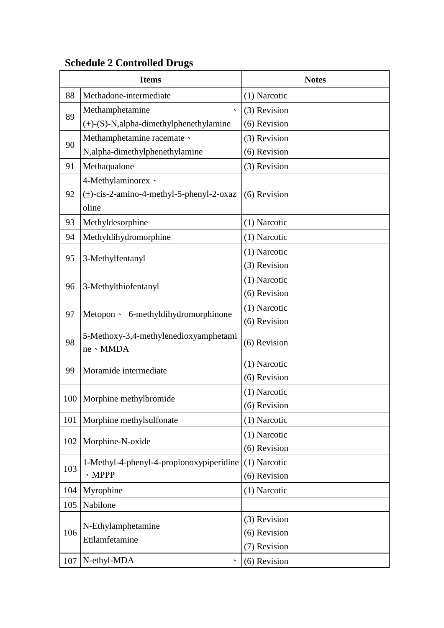| <b>Items</b> |                                               | <b>Notes</b>   |
|--------------|-----------------------------------------------|----------------|
| 88           | Methadone-intermediate                        | (1) Narcotic   |
| 89           | Methamphetamine<br>$\checkmark$               | (3) Revision   |
|              | $(+)$ -(S)-N, alpha-dimethylphenethylamine    | (6) Revision   |
|              | Methamphetamine racemate $\cdot$              | (3) Revision   |
| 90           | N, alpha-dimethylphenethylamine               | (6) Revision   |
| 91           | Methaqualone                                  | (3) Revision   |
|              | 4-Methylaminorex \                            |                |
| 92           | $(\pm)$ -cis-2-amino-4-methyl-5-phenyl-2-oxaz | (6) Revision   |
|              | oline                                         |                |
| 93           | Methyldesorphine                              | (1) Narcotic   |
| 94           | Methyldihydromorphine                         | (1) Narcotic   |
| 95           | 3-Methylfentanyl                              | (1) Narcotic   |
|              |                                               | (3) Revision   |
| 96           | 3-Methylthiofentanyl                          | (1) Narcotic   |
|              |                                               | (6) Revision   |
| 97           | Metopon > 6-methyldihydromorphinone           | (1) Narcotic   |
|              |                                               | (6) Revision   |
| 98           | 5-Methoxy-3,4-methylenedioxyamphetami         | (6) Revision   |
|              | ne · MMDA                                     |                |
| 99           | Moramide intermediate                         | (1) Narcotic   |
|              |                                               | (6) Revision   |
| 100          | Morphine methylbromide                        | (1) Narcotic   |
|              |                                               | (6) Revision   |
| 101          | Morphine methylsulfonate                      | (1) Narcotic   |
| 102          | Morphine-N-oxide                              | (1) Narcotic   |
|              |                                               | (6) Revision   |
| 103          | 1-Methyl-4-phenyl-4-propionoxypiperidine      | $(1)$ Narcotic |
|              | $\cdot$ MPPP                                  | (6) Revision   |
| 104          | Myrophine                                     | (1) Narcotic   |
| 105          | Nabilone                                      |                |
|              | N-Ethylamphetamine                            | (3) Revision   |
| 106          | Etilamfetamine                                | (6) Revision   |
|              |                                               | (7) Revision   |
| 107          | N-ethyl-MDA                                   | (6) Revision   |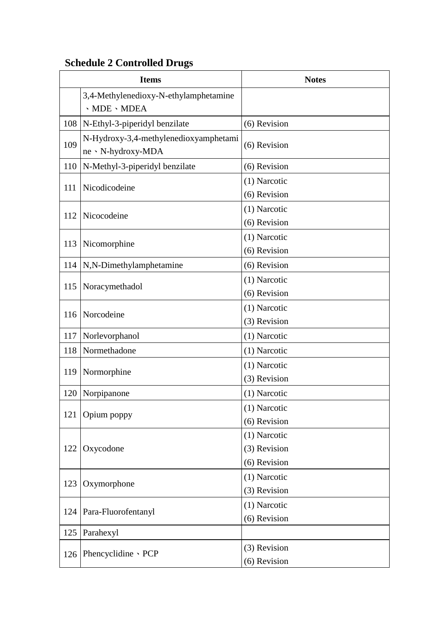|     | <b>Items</b>                                                | <b>Notes</b>                                 |
|-----|-------------------------------------------------------------|----------------------------------------------|
|     | 3,4-Methylenedioxy-N-ethylamphetamine<br>· MDE · MDEA       |                                              |
| 108 | N-Ethyl-3-piperidyl benzilate                               | (6) Revision                                 |
| 109 | N-Hydroxy-3,4-methylenedioxyamphetami<br>ne · N-hydroxy-MDA | (6) Revision                                 |
| 110 | N-Methyl-3-piperidyl benzilate                              | (6) Revision                                 |
| 111 | Nicodicodeine                                               | (1) Narcotic<br>(6) Revision                 |
| 112 | Nicocodeine                                                 | (1) Narcotic<br>(6) Revision                 |
| 113 | Nicomorphine                                                | (1) Narcotic<br>(6) Revision                 |
| 114 | N,N-Dimethylamphetamine                                     | (6) Revision                                 |
| 115 | Noracymethadol                                              | (1) Narcotic<br>(6) Revision                 |
| 116 | Norcodeine                                                  | (1) Narcotic<br>(3) Revision                 |
| 117 | Norlevorphanol                                              | (1) Narcotic                                 |
| 118 | Normethadone                                                | (1) Narcotic                                 |
| 119 | Normorphine                                                 | (1) Narcotic<br>(3) Revision                 |
| 120 | Norpipanone                                                 | (1) Narcotic                                 |
| 121 | Opium poppy                                                 | (1) Narcotic<br>(6) Revision                 |
| 122 | Oxycodone                                                   | (1) Narcotic<br>(3) Revision<br>(6) Revision |
| 123 | Oxymorphone                                                 | (1) Narcotic<br>(3) Revision                 |
| 124 | Para-Fluorofentanyl                                         | (1) Narcotic<br>(6) Revision                 |
| 125 | Parahexyl                                                   |                                              |
| 126 | Phencyclidine · PCP                                         | (3) Revision<br>(6) Revision                 |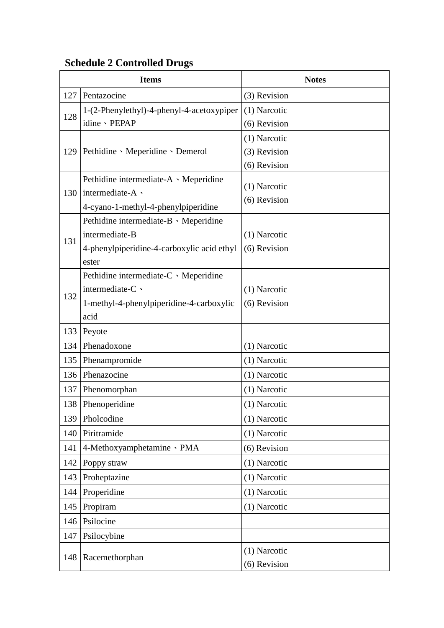| <b>Items</b> |                                                  | <b>Notes</b>   |
|--------------|--------------------------------------------------|----------------|
| 127          | Pentazocine                                      | (3) Revision   |
| 128          | 1-(2-Phenylethyl)-4-phenyl-4-acetoxypiper        | (1) Narcotic   |
|              | idine · PEPAP                                    | (6) Revision   |
|              |                                                  | $(1)$ Narcotic |
|              | 129   Pethidine · Meperidine · Demerol           | (3) Revision   |
|              |                                                  | (6) Revision   |
|              | Pethidine intermediate-A · Meperidine            | (1) Narcotic   |
| 130          | intermediate-A \                                 | (6) Revision   |
|              | 4-cyano-1-methyl-4-phenylpiperidine              |                |
|              | Pethidine intermediate-B · Meperidine            |                |
| 131          | intermediate-B                                   | (1) Narcotic   |
|              | 4-phenylpiperidine-4-carboxylic acid ethyl       | (6) Revision   |
|              | ester                                            |                |
|              | Pethidine intermediate-C · Meperidine            |                |
| 132          | intermediate-C \                                 | $(1)$ Narcotic |
|              | 1-methyl-4-phenylpiperidine-4-carboxylic<br>acid | (6) Revision   |
| 133          |                                                  |                |
| 134          | Peyote<br>Phenadoxone                            |                |
|              |                                                  | (1) Narcotic   |
| 135          | Phenampromide                                    | (1) Narcotic   |
| 136          | Phenazocine                                      | (1) Narcotic   |
| 137          | Phenomorphan                                     | (1) Narcotic   |
|              | 138 Phenoperidine                                | $(1)$ Narcotic |
| 139          | Pholcodine                                       | (1) Narcotic   |
| 140          | Piritramide                                      | (1) Narcotic   |
| 141          | 4-Methoxyamphetamine · PMA                       | (6) Revision   |
| 142          | Poppy straw                                      | (1) Narcotic   |
| 143          | Proheptazine                                     | (1) Narcotic   |
| 144          | Properidine                                      | (1) Narcotic   |
| 145          | Propiram                                         | (1) Narcotic   |
| 146          | Psilocine                                        |                |
| 147          | Psilocybine                                      |                |
| 148          | Racemethorphan                                   | $(1)$ Narcotic |
|              |                                                  | (6) Revision   |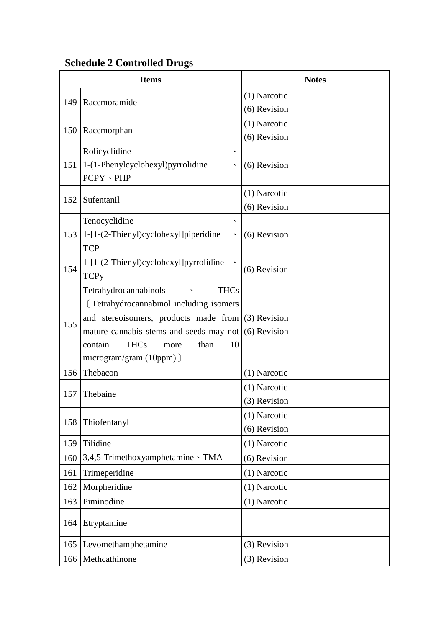| <b>Items</b> |                                                                                                 | <b>Notes</b> |
|--------------|-------------------------------------------------------------------------------------------------|--------------|
| 149          |                                                                                                 | (1) Narcotic |
|              | Racemoramide                                                                                    | (6) Revision |
| 150          | Racemorphan                                                                                     | (1) Narcotic |
|              |                                                                                                 | (6) Revision |
|              | Rolicyclidine                                                                                   |              |
| 151          | 1-(1-Phenylcyclohexyl) pyrrolidine                                                              | (6) Revision |
|              | PCPY · PHP                                                                                      |              |
| 152          | Sufentanil                                                                                      | (1) Narcotic |
|              |                                                                                                 | (6) Revision |
|              | Tenocyclidine                                                                                   |              |
| 153          | $1-[1-(2-Thieny])\ncyclohexyl]$ piperidine                                                      | (6) Revision |
|              | <b>TCP</b>                                                                                      |              |
| 154          | 1-[1-(2-Thienyl)cyclohexyl]pyrrolidine                                                          | (6) Revision |
|              | <b>TCPy</b>                                                                                     |              |
|              | Tetrahydrocannabinols<br><b>THCs</b>                                                            |              |
|              | [Tetrahydrocannabinol including isomers]                                                        |              |
| 155          | and stereoisomers, products made from<br>mature cannabis stems and seeds may not $(6)$ Revision | (3) Revision |
|              | <b>THCs</b><br>than<br>10<br>contain<br>more                                                    |              |
|              | $microgram/gram (10ppm)$ ]                                                                      |              |
| 156          | Thebacon                                                                                        | (1) Narcotic |
|              |                                                                                                 | (1) Narcotic |
| 157          | Thebaine                                                                                        | (3) Revision |
|              |                                                                                                 | (1) Narcotic |
| 158          | Thiofentanyl                                                                                    | (6) Revision |
| 159          | Tilidine                                                                                        | (1) Narcotic |
| 160          | 3,4,5-Trimethoxyamphetamine \ TMA                                                               | (6) Revision |
| 161          | Trimeperidine                                                                                   | (1) Narcotic |
| 162          | Morpheridine                                                                                    | (1) Narcotic |
| 163          | Piminodine                                                                                      | (1) Narcotic |
| 164          | Etryptamine                                                                                     |              |
| 165          | Levomethamphetamine                                                                             | (3) Revision |
| 166          | Methcathinone                                                                                   | (3) Revision |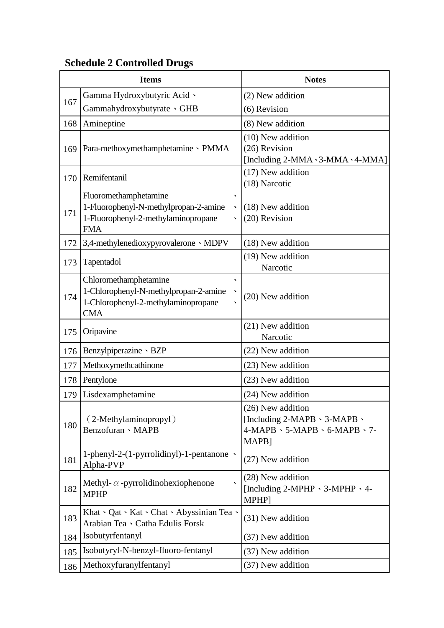| <b>Items</b> |                                                                                                                          | <b>Notes</b>                                                                                |
|--------------|--------------------------------------------------------------------------------------------------------------------------|---------------------------------------------------------------------------------------------|
|              | Gamma Hydroxybutyric Acid \                                                                                              | (2) New addition                                                                            |
| 167          | Gammahydroxybutyrate GHB                                                                                                 | (6) Revision                                                                                |
| 168          | Amineptine                                                                                                               | (8) New addition                                                                            |
| 169          | Para-methoxymethamphetamine > PMMA                                                                                       | (10) New addition<br>(26) Revision<br>[Including $2$ -MMA $\cdot$ 3-MMA $\cdot$ 4-MMA]      |
| 170          | Remifentanil                                                                                                             | (17) New addition<br>(18) Narcotic                                                          |
| 171          | Fluoromethamphetamine<br>╮<br>1-Fluorophenyl-N-methylpropan-2-amine<br>1-Fluorophenyl-2-methylaminopropane<br><b>FMA</b> | (18) New addition<br>(20) Revision                                                          |
| 172          | 3,4-methylenedioxypyrovalerone MDPV                                                                                      | (18) New addition                                                                           |
| 173          | Tapentadol                                                                                                               | (19) New addition<br>Narcotic                                                               |
| 174          | Chloromethamphetamine<br>1-Chlorophenyl-N-methylpropan-2-amine<br>1-Chlorophenyl-2-methylaminopropane<br><b>CMA</b>      | (20) New addition                                                                           |
| 175          | Oripavine                                                                                                                | (21) New addition<br>Narcotic                                                               |
| 176          | Benzylpiperazine · BZP                                                                                                   | (22) New addition                                                                           |
| 177          | Methoxymethcathinone                                                                                                     | (23) New addition                                                                           |
| 178          | Pentylone                                                                                                                | (23) New addition                                                                           |
| 179          | Lisdexamphetamine                                                                                                        | (24) New addition                                                                           |
| 180          | (2-Methylaminopropyl)<br>Benzofuran · MAPB                                                                               | (26) New addition<br>[Including 2-MAPB \ 3-MAPB \<br>4-MAPB > 5-MAPB > 6-MAPB > 7-<br>MAPB] |
| 181          | 1-phenyl-2- $(1$ -pyrrolidinyl)-1-pentanone $\rightarrow$<br>Alpha-PVP                                                   | (27) New addition                                                                           |
| 182          | Methyl- $\alpha$ -pyrrolidinohexiophenone<br><b>MPHP</b>                                                                 | (28) New addition<br>[Including 2-MPHP $\cdot$ 3-MPHP $\cdot$ 4-<br>MPHP]                   |
| 183          | Khat · Qat · Kat · Chat · Abyssinian Tea ·<br>Arabian Tea 、 Catha Edulis Forsk                                           | (31) New addition                                                                           |
| 184          | Isobutyrfentanyl                                                                                                         | (37) New addition                                                                           |
| 185          | Isobutyryl-N-benzyl-fluoro-fentanyl                                                                                      | (37) New addition                                                                           |
| 186          | Methoxyfuranylfentanyl                                                                                                   | (37) New addition                                                                           |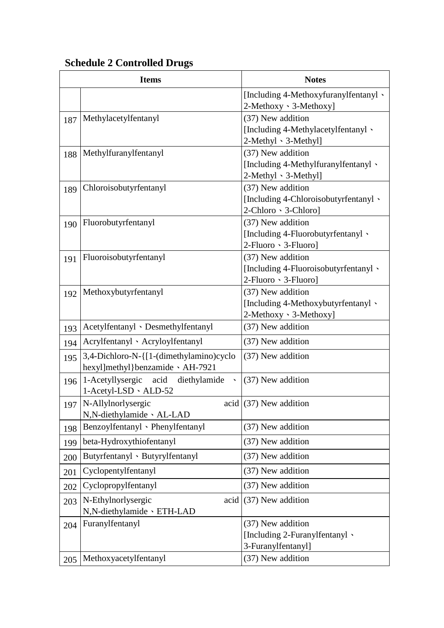|     | <b>Items</b>                                                               | <b>Notes</b>                                                                       |
|-----|----------------------------------------------------------------------------|------------------------------------------------------------------------------------|
|     |                                                                            | [Including 4-Methoxyfuranylfentanyl \<br>2-Methoxy · 3-Methoxy]                    |
| 187 | Methylacetylfentanyl                                                       | (37) New addition<br>[Including 4-Methylacetylfentanyl \<br>2-Methyl 、3-Methyl]    |
| 188 | Methylfuranylfentanyl                                                      | (37) New addition<br>[Including 4-Methylfuranylfentanyl \<br>2-Methyl 、3-Methyl]   |
| 189 | Chloroisobutyrfentanyl                                                     | (37) New addition<br>[Including 4-Chloroisobutyrfentanyl \<br>2-Chloro · 3-Chloro] |
| 190 | Fluorobutyrfentanyl                                                        | (37) New addition<br>[Including 4-Fluorobutyrfentanyl \<br>2-Fluoro · 3-Fluoro]    |
| 191 | Fluoroisobutyrfentanyl                                                     | (37) New addition<br>[Including 4-Fluoroisobutyrfentanyl \<br>2-Fluoro · 3-Fluoro] |
| 192 | Methoxybutyrfentanyl                                                       | (37) New addition<br>[Including 4-Methoxybutyrfentanyl \<br>2-Methoxy · 3-Methoxy] |
| 193 | Acetylfentanyl 、Desmethylfentanyl                                          | (37) New addition                                                                  |
| 194 | Acrylfentanyl · Acryloylfentanyl                                           | (37) New addition                                                                  |
| 195 | 3,4-Dichloro-N-{[1-(dimethylamino)cyclo<br>hexyl]methyl}benzamide \AH-7921 | (37) New addition                                                                  |
| 196 | 1-Acetyllysergic<br>acid<br>diethylamide<br>$1$ -Acetyl-LSD $\cdot$ ALD-52 | (37) New addition                                                                  |
| 197 | N-Allylnorlysergic<br>N,N-diethylamide 、AL-LAD                             | acid $(37)$ New addition                                                           |
| 198 | Benzoylfentanyl · Phenylfentanyl                                           | (37) New addition                                                                  |
| 199 | beta-Hydroxythiofentanyl                                                   | (37) New addition                                                                  |
| 200 | Butyrfentanyl · Butyrylfentanyl                                            | (37) New addition                                                                  |
| 201 | Cyclopentylfentanyl                                                        | (37) New addition                                                                  |
| 202 | Cyclopropylfentanyl                                                        | (37) New addition                                                                  |
| 203 | N-Ethylnorlysergic<br>acid<br>N,N-diethylamide 、ETH-LAD                    | (37) New addition                                                                  |
| 204 | Furanylfentanyl                                                            | (37) New addition<br>[Including 2-Furanylfentanyl \<br>3-Furanylfentanyl]          |
| 205 | Methoxyacetylfentanyl                                                      | (37) New addition                                                                  |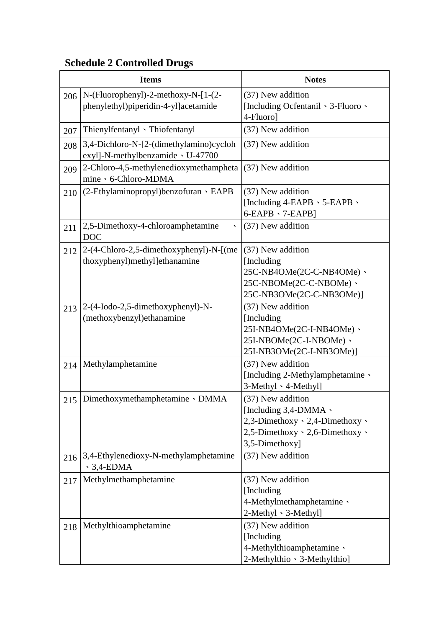|     | <b>Items</b>                                                                   | <b>Notes</b>                                                                                                                                      |
|-----|--------------------------------------------------------------------------------|---------------------------------------------------------------------------------------------------------------------------------------------------|
| 206 | $N$ -(Fluorophenyl)-2-methoxy-N-[1-(2-<br>phenylethyl)piperidin-4-yl]acetamide | (37) New addition<br>[Including Ocfentanil \ 3-Fluoro \<br>4-Fluorol                                                                              |
| 207 | Thienylfentanyl 、Thiofentanyl                                                  | (37) New addition                                                                                                                                 |
| 208 | 3,4-Dichloro-N-[2-(dimethylamino)cycloh<br>exyl]-N-methylbenzamide v U-47700   | (37) New addition                                                                                                                                 |
| 209 | 2-Chloro-4,5-methylenedioxymethampheta<br>mine > 6-Chloro-MDMA                 | (37) New addition                                                                                                                                 |
| 210 | $(2-Ethylami no propyl) benzofuran \cdot EAPB$                                 | (37) New addition<br>[Including $4$ -EAPB $\cdot$ 5-EAPB $\cdot$<br>$6$ -EAPB $\cdot$ 7-EAPB]                                                     |
| 211 | 2,5-Dimethoxy-4-chloroamphetamine<br><b>DOC</b>                                | (37) New addition                                                                                                                                 |
| 212 | 2-(4-Chloro-2,5-dimethoxyphenyl)-N-[(me<br>thoxyphenyl)methyl]ethanamine       | (37) New addition<br>[Including]<br>25C-NB4OMe(2C-C-NB4OMe) 、<br>25C-NBOMe(2C-C-NBOMe) 、<br>25C-NB3OMe(2C-C-NB3OMe)]                              |
| 213 | 2-(4-Iodo-2,5-dimethoxyphenyl)-N-<br>(methoxybenzyl) ethanamine                | (37) New addition<br>[Including]<br>25I-NB4OMe(2C-I-NB4OMe) 、<br>25I-NBOMe(2C-I-NBOMe) 、<br>25I-NB3OMe(2C-I-NB3OMe)]                              |
| 214 | Methylamphetamine                                                              | (37) New addition<br>[Including 2-Methylamphetamine \<br>3-Methyl 、4-Methyl]                                                                      |
| 215 | Dimethoxymethamphetamine · DMMA                                                | (37) New addition<br>[Including 3,4-DMMA \<br>$2,3$ -Dimethoxy $\cdot$ 2,4-Dimethoxy $\cdot$<br>2,5-Dimethoxy · 2,6-Dimethoxy ·<br>3,5-Dimethoxy] |
| 216 | 3,4-Ethylenedioxy-N-methylamphetamine<br>$\cdot$ 3,4-EDMA                      | (37) New addition                                                                                                                                 |
| 217 | Methylmethamphetamine                                                          | (37) New addition<br>[Including]<br>4-Methylmethamphetamine \<br>2-Methyl 、3-Methyl]                                                              |
| 218 | Methylthioamphetamine                                                          | (37) New addition<br>[Including]<br>4-Methylthioamphetamine \<br>2-Methylthio · 3-Methylthio]                                                     |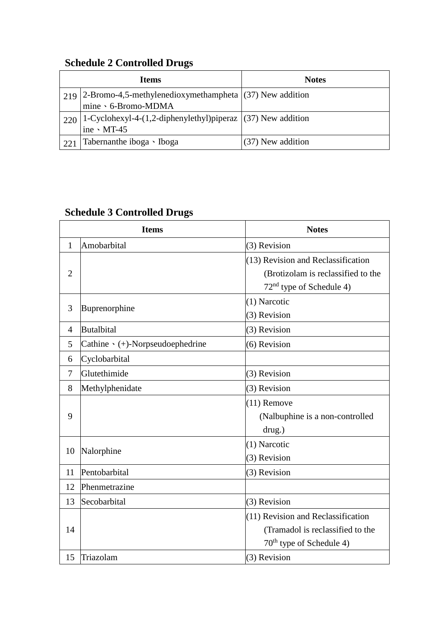|     | <b>Items</b>                                                              | <b>Notes</b>      |
|-----|---------------------------------------------------------------------------|-------------------|
| 219 | $ 2\text{-}\text{Bromo-4,5-methylenedioxymethampheta} $ (37) New addition |                   |
|     | mine 、6-Bromo-MDMA                                                        |                   |
|     | $220$   1-Cyclohexyl-4-(1,2-diphenylethyl)piperaz $(37)$ New addition     |                   |
|     | ine $\cdot$ MT-45                                                         |                   |
| 221 | Tabernanthe iboga · Iboga                                                 | (37) New addition |

|                | <b>Items</b>                           | <b>Notes</b>                         |
|----------------|----------------------------------------|--------------------------------------|
| $\mathbf{1}$   | Amobarbital                            | (3) Revision                         |
|                |                                        | (13) Revision and Reclassification   |
| $\overline{2}$ |                                        | (Brotizolam is reclassified to the   |
|                |                                        | 72 <sup>nd</sup> type of Schedule 4) |
|                | Buprenorphine                          | (1) Narcotic                         |
| 3              |                                        | (3) Revision                         |
| $\overline{4}$ | <b>Butalbital</b>                      | (3) Revision                         |
| 5              | Cathine $\cdot$ (+)-Norpseudoephedrine | (6) Revision                         |
| 6              | Cyclobarbital                          |                                      |
| 7              | Glutethimide                           | (3) Revision                         |
| 8              | Methylphenidate                        | (3) Revision                         |
|                |                                        | $(11)$ Remove                        |
| 9              |                                        | (Nalbuphine is a non-controlled      |
|                |                                        | drug.)                               |
|                | Nalorphine                             | (1) Narcotic                         |
| 10             |                                        | (3) Revision                         |
| 11             | Pentobarbital                          | (3) Revision                         |
| 12             | Phenmetrazine                          |                                      |
| 13             | Secobarbital                           | (3) Revision                         |
|                |                                        | (11) Revision and Reclassification   |
| 14             |                                        | (Tramadol is reclassified to the     |
|                |                                        | $70th$ type of Schedule 4)           |
| 15             | Triazolam                              | (3) Revision                         |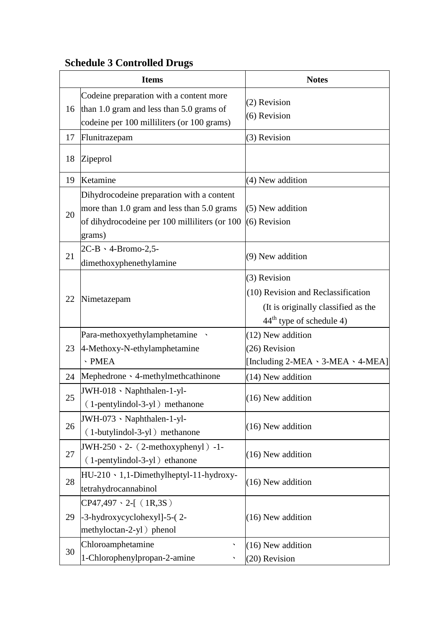|    | <b>Items</b>                                                                                                                                       | <b>Notes</b>                                                                                                                      |
|----|----------------------------------------------------------------------------------------------------------------------------------------------------|-----------------------------------------------------------------------------------------------------------------------------------|
| 16 | Codeine preparation with a content more<br>than 1.0 gram and less than 5.0 grams of<br>codeine per 100 milliliters (or 100 grams)                  | (2) Revision<br>(6) Revision                                                                                                      |
| 17 | Flunitrazepam                                                                                                                                      | (3) Revision                                                                                                                      |
| 18 | Zipeprol                                                                                                                                           |                                                                                                                                   |
| 19 | Ketamine                                                                                                                                           | (4) New addition                                                                                                                  |
| 20 | Dihydrocodeine preparation with a content<br>more than 1.0 gram and less than 5.0 grams<br>of dihydrocodeine per 100 milliliters (or 100<br>grams) | (5) New addition<br>(6) Revision                                                                                                  |
| 21 | $2C-B \cdot 4-Bromo-2,5-$<br>dimethoxyphenethylamine                                                                                               | (9) New addition                                                                                                                  |
| 22 | Nimetazepam                                                                                                                                        | (3) Revision<br>(10) Revision and Reclassification<br>(It is originally classified as the<br>44 <sup>th</sup> type of schedule 4) |
|    | Para-methoxyethylamphetamine                                                                                                                       | $(12)$ New addition                                                                                                               |
| 23 | 4-Methoxy-N-ethylamphetamine<br>$\cdot$ PMEA                                                                                                       | (26) Revision<br>[Including $2$ -MEA $\cdot$ 3-MEA $\cdot$ 4-MEA]                                                                 |
| 24 | Mephedrone · 4-methylmethcathinone                                                                                                                 | (14) New addition                                                                                                                 |
| 25 | JWH-018 · Naphthalen-1-yl-<br>(1-pentylindol-3-yl) methanone                                                                                       | (16) New addition                                                                                                                 |
| 26 | JWH-073 · Naphthalen-1-yl-<br>(1-butylindol-3-yl) methanone                                                                                        | (16) New addition                                                                                                                 |
| 27 | JWH-250 $\cdot$ 2- (2-methoxyphenyl) -1-<br>(1-pentylindol-3-yl) ethanone                                                                          | (16) New addition                                                                                                                 |
| 28 | $HU-210 \cdot 1,1-Dimethylheptyl-11-hydroxy-$<br>tetrahydrocannabinol                                                                              | (16) New addition                                                                                                                 |
| 29 | $CP47,497 \cdot 2-[ (1R,3S)$<br>-3-hydroxycyclohexyl]-5-(2-<br>methyloctan-2-yl ) phenol                                                           | (16) New addition                                                                                                                 |
| 30 | Chloroamphetamine<br>╮<br>1-Chlorophenylpropan-2-amine                                                                                             | $(16)$ New addition<br>(20) Revision                                                                                              |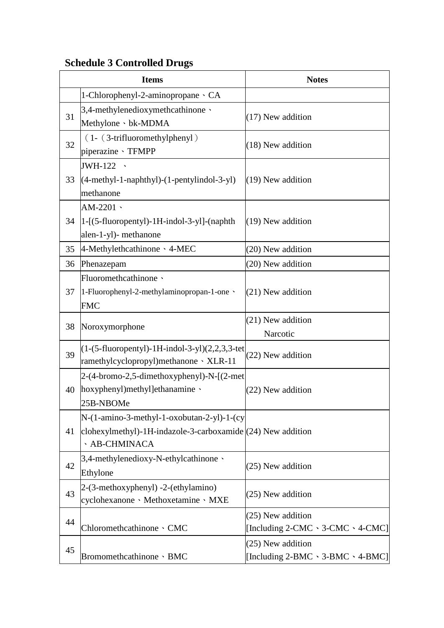|    | <b>Items</b>                                                                                                                      | <b>Notes</b>                                                          |
|----|-----------------------------------------------------------------------------------------------------------------------------------|-----------------------------------------------------------------------|
|    | 1-Chlorophenyl-2-aminopropane · CA                                                                                                |                                                                       |
| 31 | 3,4-methylenedioxymethcathinone \<br>Methylone · bk-MDMA                                                                          | $(17)$ New addition                                                   |
| 32 | $(1 - (3-trifluorometry1)$<br>piperazine · TFMPP                                                                                  | (18) New addition                                                     |
| 33 | JWH-122 \<br>$(4-methyl-1-naphthyl)-(1-pentylindol-3-yl)$<br>methanone                                                            | (19) New addition                                                     |
| 34 | AM-2201 $\cdot$<br>$ 1-[5-fluoropently]-1H-indol-3-y]$ -(naphth<br>alen-1-yl)- methanone                                          | (19) New addition                                                     |
| 35 | 4-Methylethcathinone · 4-MEC                                                                                                      | (20) New addition                                                     |
| 36 | Phenazepam                                                                                                                        | (20) New addition                                                     |
| 37 | Fluoromethcathinone \<br>1-Fluorophenyl-2-methylaminopropan-1-one \<br><b>FMC</b>                                                 | (21) New addition                                                     |
| 38 | Noroxymorphone                                                                                                                    | (21) New addition<br>Narcotic                                         |
| 39 | $(1-(5-fluoropently)-1H-indol-3-yl)(2,2,3,3-tet)$<br>ramethylcyclopropyl)methanone \ XLR-11                                       | (22) New addition                                                     |
| 40 | 2-(4-bromo-2,5-dimethoxyphenyl)-N-[(2-met<br>hoxyphenyl)methyl]ethanamine \<br>25B-NBOMe                                          | (22) New addition                                                     |
| 41 | N-(1-amino-3-methyl-1-oxobutan-2-yl)-1-(cy<br>clohexylmethyl)-1H-indazole-3-carboxamide $(24)$ New addition<br><b>AB-CHMINACA</b> |                                                                       |
| 42 | 3,4-methylenedioxy-N-ethylcathinone \<br>Ethylone                                                                                 | (25) New addition                                                     |
| 43 | 2-(3-methoxyphenyl) -2-(ethylamino)<br>cyclohexanone · Methoxetamine · MXE                                                        | (25) New addition                                                     |
| 44 | Chloromethcathinone · CMC                                                                                                         | (25) New addition<br>[Including $2$ -CMC $\cdot$ 3-CMC $\cdot$ 4-CMC] |
| 45 | Bromomethcathinone · BMC                                                                                                          | (25) New addition<br>[Including 2-BMC 、3-BMC 、4-BMC]                  |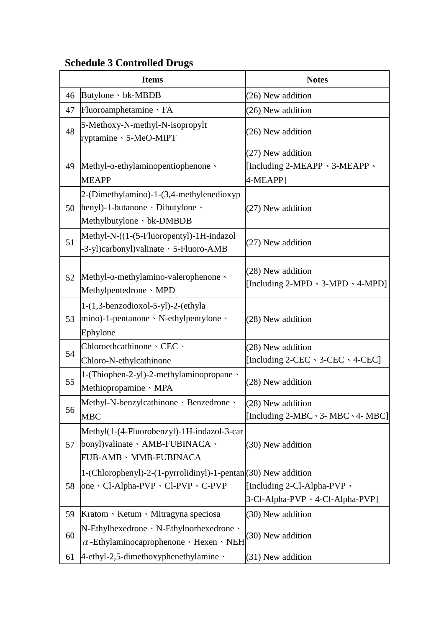|    | <b>Items</b>                                                                                              | <b>Notes</b>                                                           |
|----|-----------------------------------------------------------------------------------------------------------|------------------------------------------------------------------------|
| 46 | Butylone · bk-MBDB                                                                                        | (26) New addition                                                      |
| 47 | Fluoroamphetamine · FA                                                                                    | (26) New addition                                                      |
| 48 | 5-Methoxy-N-methyl-N-isopropylt<br>ryptamine · 5-MeO-MIPT                                                 | (26) New addition                                                      |
| 49 | Methyl- $\alpha$ -ethylaminopentiophenone<br><b>MEAPP</b>                                                 | (27) New addition<br>[Including 2-MEAPP \ 3-MEAPP \<br>4-MEAPP1        |
| 50 | 2-(Dimethylamino)-1-(3,4-methylenedioxyp<br>henyl)-1-butanone · Dibutylone ·<br>Methylbutylone · bk-DMBDB | (27) New addition                                                      |
| 51 | Methyl-N-((1-(5-Fluoropentyl)-1H-indazol<br>-3-yl)carbonyl)valinate · 5-Fluoro-AMB                        | (27) New addition                                                      |
| 52 | Methyl- $\alpha$ -methylamino-valerophenone $\cdot$<br>Methylpentedrone · MPD                             | (28) New addition<br>[Including $2-MPD \cdot 3-MPD \cdot 4-MPD$ ]      |
| 53 | $1-(1,3$ -benzodioxol-5-yl)-2-(ethyla<br>$ $ mino)-1-pentanone · N-ethylpentylone ·<br>Ephylone           | (28) New addition                                                      |
| 54 | Chloroethcathinone · CEC ·<br>Chloro-N-ethylcathinone                                                     | (28) New addition<br>[Including $2$ -CEC $\cdot$ 3-CEC $\cdot$ 4-CEC]  |
| 55 | 1-(Thiophen-2-yl)-2-methylaminopropane \<br>Methiopropamine · MPA                                         | (28) New addition                                                      |
| 56 | Methyl-N-benzylcathinone · Benzedrone ·<br><b>MBC</b>                                                     | (28) New addition<br>[Including $2-MBC \cdot 3$ - MBC $\cdot 4$ - MBC] |
| 57 | Methyl(1-(4-Fluorobenzyl)-1H-indazol-3-car<br>bonyl) valinate · AMB-FUBINACA ·<br>FUB-AMB · MMB-FUBINACA  | (30) New addition                                                      |
| 58 | 1-(Chlorophenyl)-2-(1-pyrrolidinyl)-1-pentan(30) New addition<br>one · Cl-Alpha-PVP · Cl-PVP · C-PVP      | [Including 2-Cl-Alpha-PVP $\cdot$<br>3-Cl-Alpha-PVP \ 4-Cl-Alpha-PVP]  |
| 59 | Kratom · Ketum · Mitragyna speciosa                                                                       | (30) New addition                                                      |
| 60 | $N$ -Ethylhexedrone $\cdot$ N-Ethylnorhexedrone $\cdot$<br>$\alpha$ -Ethylaminocaprophenone · Hexen · NEH | (30) New addition                                                      |
| 61 | $4$ -ethyl-2,5-dimethoxyphenethylamine $\cdot$                                                            | (31) New addition                                                      |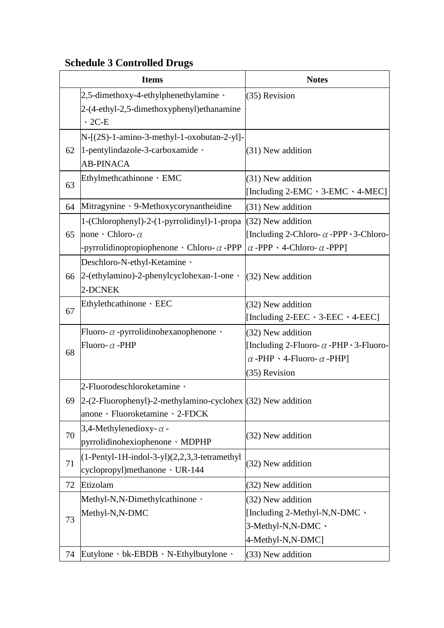|    | <b>Items</b>                                                      | <b>Notes</b>                                         |
|----|-------------------------------------------------------------------|------------------------------------------------------|
|    | $2,5$ -dimethoxy-4-ethylphenethylamine                            | (35) Revision                                        |
|    | 2-(4-ethyl-2,5-dimethoxyphenyl) ethanamine                        |                                                      |
|    | $\cdot$ 2C-E                                                      |                                                      |
|    | $N-[2S)-1$ -amino-3-methyl-1-oxobutan-2-yl]-                      |                                                      |
| 62 | 1-pentylindazole-3-carboxamide $\cdot$                            | (31) New addition                                    |
|    | <b>AB-PINACA</b>                                                  |                                                      |
| 63 | Ethylmethcathinone · EMC                                          | (31) New addition                                    |
|    |                                                                   | [Including 2-EMC \cdot 3-EMC \cdot 4-MEC]            |
| 64 | Mitragynine · 9-Methoxycorynantheidine                            | (31) New addition                                    |
|    | 1-(Chlorophenyl)-2-(1-pyrrolidinyl)-1-propa (32) New addition     |                                                      |
| 65 | none $\cdot$ Chloro- $\alpha$                                     | [Including 2-Chloro- $\alpha$ -PPP $\cdot$ 3-Chloro- |
|    | -pyrrolidinopropiophenone $\cdot$ Chloro- $\alpha$ -PPP           | $\alpha$ -PPP $\cdot$ 4-Chloro- $\alpha$ -PPP]       |
|    | Deschloro-N-ethyl-Ketamine \                                      |                                                      |
|    | 66   2-(ethylamino)-2-phenylcyclohexan-1-one $\cdot$              | (32) New addition                                    |
|    | 2-DCNEK                                                           |                                                      |
| 67 | Ethylethcathinone · EEC                                           | (32) New addition                                    |
|    |                                                                   | [Including $2$ -EEC $\cdot$ 3-EEC $\cdot$ 4-EEC]     |
|    | Fluoro- $\alpha$ -pyrrolidinohexanophenone $\cdot$                | (32) New addition                                    |
| 68 | Fluoro- $\alpha$ -PHP                                             | [Including 2-Fluoro- $\alpha$ -PHP $\cdot$ 3-Fluoro- |
|    |                                                                   | $\alpha$ -PHP $\cdot$ 4-Fluoro- $\alpha$ -PHP]       |
|    |                                                                   | (35) Revision                                        |
|    | 2-Fluorodeschloroketamine                                         |                                                      |
|    | 69 $ 2-(2-Fluorophenyl)-2-methylamino-cyclohex (32)$ New addition |                                                      |
|    | anone · Fluoroketamine · 2-FDCK                                   |                                                      |
| 70 | 3,4-Methylenedioxy- $\alpha$ -                                    | (32) New addition                                    |
|    | pyrrolidinohexiophenone MDPHP                                     |                                                      |
| 71 | $(1-Pertyl-1H-indol-3-yl)(2,2,3,3-tetramethyl$                    | (32) New addition                                    |
|    | cyclopropyl)methanone v UR-144                                    |                                                      |
| 72 | Etizolam                                                          | (32) New addition                                    |
|    | Methyl-N,N-Dimethylcathinone \                                    | (32) New addition                                    |
|    | Methyl-N,N-DMC                                                    | [Including 2-Methyl-N,N-DMC $\cdot$                  |
| 73 |                                                                   | 3-Methyl-N,N-DMC 、                                   |
|    |                                                                   | 4-Methyl-N,N-DMC]                                    |
| 74 | Eutylone · bk-EBDB · N-Ethylbutylone ·                            | (33) New addition                                    |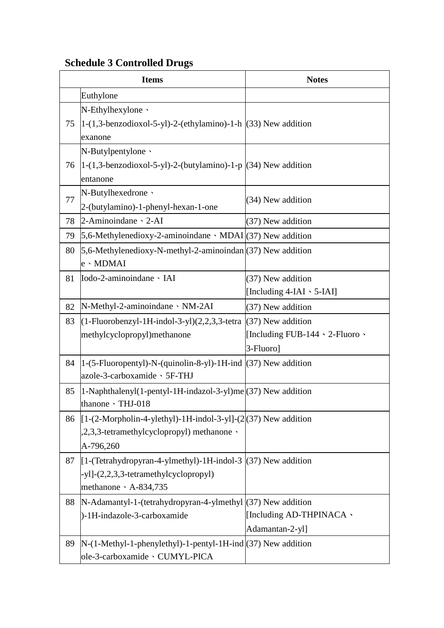|    | <b>Items</b>                                                                                                                                           | <b>Notes</b>                                                                  |
|----|--------------------------------------------------------------------------------------------------------------------------------------------------------|-------------------------------------------------------------------------------|
|    | Euthylone                                                                                                                                              |                                                                               |
| 75 | N-Ethylhexylone \<br>$ 1-(1,3-benzodioxol-5-yl)-2-(ethylamino)-1-h (33)$ New addition                                                                  |                                                                               |
|    | exanone<br>N-Butylpentylone \                                                                                                                          |                                                                               |
| 76 | $ 1-(1,3-benzodioxol-5-yl)-2-(butylamino)-1-p (34)$ New addition<br>entanone                                                                           |                                                                               |
| 77 | N-Butylhexedrone \<br>2-(butylamino)-1-phenyl-hexan-1-one                                                                                              | (34) New addition                                                             |
| 78 | $2-Aminoindane \cdot 2-AI$                                                                                                                             | (37) New addition                                                             |
| 79 | 5,6-Methylenedioxy-2-aminoindane $\cdot$ MDAI $(37)$ New addition                                                                                      |                                                                               |
| 80 | 5,6-Methylenedioxy-N-methyl-2-aminoindan $(37)$ New addition<br>e · MDMAI                                                                              |                                                                               |
| 81 | Iodo-2-aminoindane · IAI                                                                                                                               | (37) New addition<br>[Including 4-IAI \ 5-IAI]                                |
| 82 | N-Methyl-2-aminoindane · NM-2AI                                                                                                                        | (37) New addition                                                             |
| 83 | $(1-Fluorobenzyl-1H-indol-3-yl)(2,2,3,3-tetra)$<br>methylcyclopropyl)methanone                                                                         | (37) New addition<br>[Including FUB-144 $\cdot$ 2-Fluoro $\cdot$<br>3-Fluoro] |
| 84 | $ 1-(5-Fluoropently) - N-(quinolin-8-yl)-1H-ind (37)$ New addition                                                                                     |                                                                               |
|    | azole-3-carboxamide · 5F-THJ                                                                                                                           |                                                                               |
| 85 | 1-Naphthalenyl(1-pentyl-1H-indazol-3-yl)me (37) New addition<br>thanone · THJ-018                                                                      |                                                                               |
| 86 | [1-(2-Morpholin-4-ylethyl)-1H-indol-3-yl]-(2(37) New addition<br>,2,3,3-tetramethylcyclopropyl) methanone \<br>A-796,260                               |                                                                               |
| 87 | $\left  \left[ 1 \right]$ -(Tetrahydropyran-4-ylmethyl)-1H-indol-3 (37) New addition<br>-yl]-(2,2,3,3-tetramethylcyclopropyl)<br>methanone \ A-834,735 |                                                                               |
| 88 | N-Adamantyl-1-(tetrahydropyran-4-ylmethyl (37) New addition<br>)-1H-indazole-3-carboxamide                                                             | [Including AD-THPINACA \<br>Adamantan-2-yl]                                   |
| 89 | $N-(1-Methyl-1-phenylethyl)-1-pentyl-1H-ind(37)$ New addition<br>ole-3-carboxamide · CUMYL-PICA                                                        |                                                                               |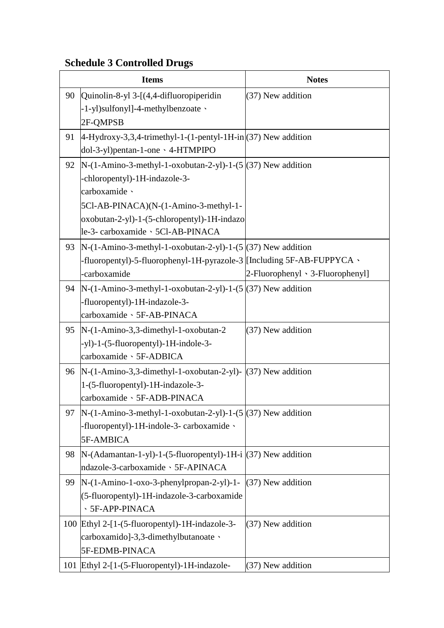|    | <b>Items</b>                                                                                                                                                                                                                                | <b>Notes</b>                              |
|----|---------------------------------------------------------------------------------------------------------------------------------------------------------------------------------------------------------------------------------------------|-------------------------------------------|
|    | 90 Quinolin-8-yl 3-[(4,4-difluoropiperidin<br>-1-yl)sulfonyl]-4-methylbenzoate \<br>2F-QMPSB                                                                                                                                                | (37) New addition                         |
| 91 | $ 4-Hydroxy-3,3,4-trimethyl-1-(1-pentyl-1H-in (37)$ New addition<br>dol-3-yl)pentan-1-one \ 4-HTMPIPO                                                                                                                                       |                                           |
| 92 | $N-(1-Amino-3-methyl-1-oxobutan-2-yl)-1-(5)(37)$ New addition<br>-chloropentyl)-1H-indazole-3-<br>carboxamide ·<br>5Cl-AB-PINACA)(N-(1-Amino-3-methyl-1-<br>oxobutan-2-yl)-1-(5-chloropentyl)-1H-indazo<br>le-3- carboxamide 、5Cl-AB-PINACA |                                           |
|    | 93   N-(1-Amino-3-methyl-1-oxobutan-2-yl)-1-(5 $(37)$ New addition<br>-fluoropentyl)-5-fluorophenyl-1H-pyrazole-3   [Including 5F-AB-FUPPYCA \<br>-carboxamide                                                                              | $2$ -Fluorophenyl $\cdot$ 3-Fluorophenyl] |
|    | 94   N-(1-Amino-3-methyl-1-oxobutan-2-yl)-1-(5 $ (37)$ New addition<br>-fluoropentyl)-1H-indazole-3-<br>carboxamide 、5F-AB-PINACA                                                                                                           |                                           |
|    | 95  N-(1-Amino-3,3-dimethyl-1-oxobutan-2<br>-yl)-1-(5-fluoropentyl)-1H-indole-3-<br>carboxamide 、5F-ADBICA                                                                                                                                  | (37) New addition                         |
|    | 96  N- $(1-Amino-3,3-dimethyl-1-oxobutan-2-yl)$ - $(37)$ New addition<br>1-(5-fluoropentyl)-1H-indazole-3-<br>carboxamide 、5F-ADB-PINACA                                                                                                    |                                           |
| 97 | $N-(1-Amino-3-methyl-1-oxobutan-2-yl)-1-(5)(37)$ New addition<br>-fluoropentyl)-1H-indole-3- carboxamide \<br>5F-AMBICA                                                                                                                     |                                           |
| 98 | $N-(Adamantan-1-yl)-1-(5-fluoropentyl)-1H-i(37)$ New addition<br>ndazole-3-carboxamide > 5F-APINACA                                                                                                                                         |                                           |
| 99 | $N-(1-Amino-1-oxo-3-phenylpropan-2-yl)-1-$<br>(5-fluoropentyl)-1H-indazole-3-carboxamide<br><b>SF-APP-PINACA</b>                                                                                                                            | (37) New addition                         |
|    | 100 Ethyl 2-[1-(5-fluoropentyl)-1H-indazole-3-<br>carboxamido]-3,3-dimethylbutanoate \<br>5F-EDMB-PINACA                                                                                                                                    | (37) New addition                         |
|    | 101 Ethyl 2-[1-(5-Fluoropentyl)-1H-indazole-                                                                                                                                                                                                | (37) New addition                         |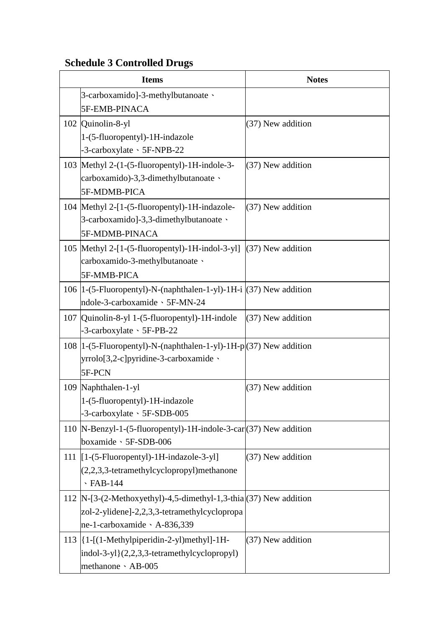| <b>Items</b>                                                                              | <b>Notes</b>        |
|-------------------------------------------------------------------------------------------|---------------------|
| 3-carboxamido]-3-methylbutanoate \                                                        |                     |
| 5F-EMB-PINACA                                                                             |                     |
| 102 Quinolin-8-yl                                                                         | (37) New addition   |
| 1-(5-fluoropentyl)-1H-indazole                                                            |                     |
| -3-carboxylate \ 5F-NPB-22                                                                |                     |
| 103 Methyl 2-(1-(5-fluoropentyl)-1H-indole-3-                                             | (37) New addition   |
| carboxamido)-3,3-dimethylbutanoate \                                                      |                     |
| 5F-MDMB-PICA                                                                              |                     |
| 104 Methyl 2-[1-(5-fluoropentyl)-1H-indazole-<br>3-carboxamido]-3,3-dimethylbutanoate \   | (37) New addition   |
| 5F-MDMB-PINACA                                                                            |                     |
| 105   Methyl 2-[1-(5-fluoropentyl)-1H-indol-3-yl]                                         | $(37)$ New addition |
| carboxamido-3-methylbutanoate \                                                           |                     |
| 5F-MMB-PICA                                                                               |                     |
| 106  1-(5-Fluoropentyl)-N-(naphthalen-1-yl)-1H-i $(37)$ New addition                      |                     |
| ndole-3-carboxamide · 5F-MN-24                                                            |                     |
| 107   Quinolin-8-yl 1-(5-fluoropentyl)-1H-indole                                          | (37) New addition   |
| $-3$ -carboxylate $\cdot$ 5F-PB-22                                                        |                     |
| 108  1-(5-Fluoropentyl)-N-(naphthalen-1-yl)-1H-p (37) New addition                        |                     |
| yrrolo[3,2-c]pyridine-3-carboxamide \                                                     |                     |
| 5F-PCN                                                                                    |                     |
| 109 Naphthalen-1-yl                                                                       | (37) New addition   |
| 1-(5-fluoropentyl)-1H-indazole                                                            |                     |
| -3-carboxylate 、5F-SDB-005                                                                |                     |
| 110  N-Benzyl-1-(5-fluoropentyl)-1H-indole-3-car (37) New addition                        |                     |
| boxamide > 5F-SDB-006                                                                     |                     |
| 111 [1-(5-Fluoropentyl)-1H-indazole-3-yl]<br>$(2,2,3,3$ -tetramethylcyclopropyl)methanone | (37) New addition   |
| $\cdot$ FAB-144                                                                           |                     |
| 112  N-[3-(2-Methoxyethyl)-4,5-dimethyl-1,3-thia $(37)$ New addition                      |                     |
| zol-2-ylidene]-2,2,3,3-tetramethylcyclopropa                                              |                     |
| ne-1-carboxamide \ A-836,339                                                              |                     |
| 113  {1-[(1-Methylpiperidin-2-yl)methyl]-1H-                                              | (37) New addition   |
| $indol-3-yl$ { $(2,2,3,3$ -tetramethylcyclopropyl}                                        |                     |
| methanone · AB-005                                                                        |                     |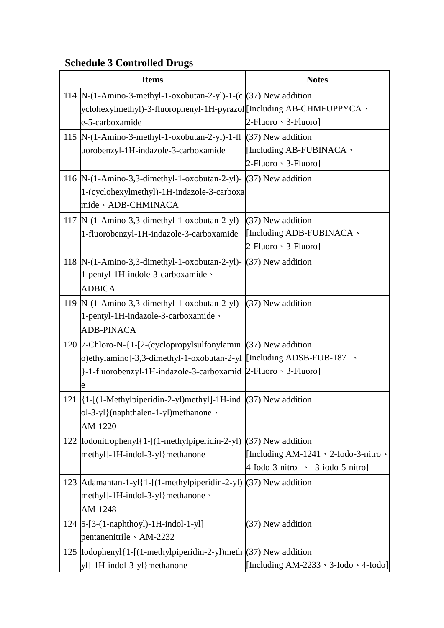| <b>Items</b>                                                                | <b>Notes</b>                                      |
|-----------------------------------------------------------------------------|---------------------------------------------------|
| 114  N-(1-Amino-3-methyl-1-oxobutan-2-yl)-1-(c $(37)$ New addition          |                                                   |
| yclohexylmethyl)-3-fluorophenyl-1H-pyrazol [Including AB-CHMFUPPYCA \       |                                                   |
| e-5-carboxamide                                                             | $2$ -Fluoro $\cdot$ 3-Fluoro]                     |
| 115  N-(1-Amino-3-methyl-1-oxobutan-2-yl)-1-fl (37) New addition            |                                                   |
| uorobenzyl-1H-indazole-3-carboxamide                                        | [Including AB-FUBINACA \                          |
|                                                                             | 2-Fluoro · 3-Fluoro]                              |
| 116  N- $(1-Amino-3,3-dimethyl-1-oxobutan-2-yl)$ - $(37)$ New addition      |                                                   |
| 1-(cyclohexylmethyl)-1H-indazole-3-carboxa                                  |                                                   |
| mide · ADB-CHMINACA                                                         |                                                   |
| 117  N-(1-Amino-3,3-dimethyl-1-oxobutan-2-yl)-                              | $(37)$ New addition                               |
| 1-fluorobenzyl-1H-indazole-3-carboxamide                                    | [Including ADB-FUBINACA \                         |
|                                                                             | $2$ -Fluoro $\cdot$ 3-Fluoro]                     |
| 118 N-(1-Amino-3,3-dimethyl-1-oxobutan-2-yl)-                               | (37) New addition                                 |
| 1-pentyl-1H-indole-3-carboxamide \                                          |                                                   |
| <b>ADBICA</b>                                                               |                                                   |
| 119   N-(1-Amino-3,3-dimethyl-1-oxobutan-2-yl)- $(37)$ New addition         |                                                   |
| 1-pentyl-1H-indazole-3-carboxamide \                                        |                                                   |
| <b>ADB-PINACA</b>                                                           |                                                   |
| 120  7-Chloro-N-{1-[2-(cyclopropylsulfonylamin  (37) New addition           |                                                   |
| o)ethylamino]-3,3-dimethyl-1-oxobutan-2-yl  [Including ADSB-FUB-187 $\cdot$ |                                                   |
| }-1-fluorobenzyl-1H-indazole-3-carboxamid   2-Fluoro · 3-Fluoro]            |                                                   |
| e                                                                           |                                                   |
| 121  {1-[(1-Methylpiperidin-2-yl)methyl]-1H-ind  (37) New addition          |                                                   |
| ol-3-yl}(naphthalen-1-yl)methanone \                                        |                                                   |
| AM-1220                                                                     |                                                   |
| 122   Iodonitrophenyl { 1 - [(1-methylpiperidin-2-yl)                       | (37) New addition                                 |
| methyl]-1H-indol-3-yl}methanone                                             | [Including AM-1241 $\cdot$ 2-Iodo-3-nitro $\cdot$ |
|                                                                             | 4-Iodo-3-nitro > 3-iodo-5-nitro]                  |
| 123   Adamantan-1-yl { 1-[(1-methylpiperidin-2-yl)   (37) New addition      |                                                   |
| methyl]-1H-indol-3-yl}methanone \                                           |                                                   |
| AM-1248                                                                     |                                                   |
| 124 $[5-[3-(1-naphthoyl)-1H-indol-1-y]$                                     | (37) New addition                                 |
| pentanenitrile · AM-2232                                                    |                                                   |
| 125  Iodophenyl{1-[(1-methylpiperidin-2-yl)meth (37) New addition           |                                                   |
| yl]-1H-indol-3-yl}methanone                                                 | [Including AM-2233 $\cdot$ 3-Iodo $\cdot$ 4-Iodo] |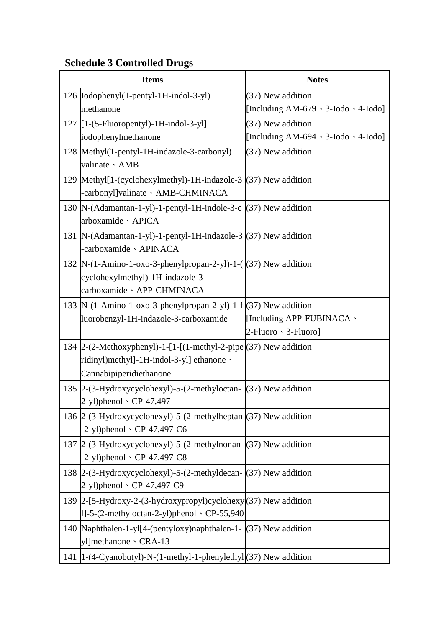| <b>Items</b>                                                                                                                         | <b>Notes</b>                                     |
|--------------------------------------------------------------------------------------------------------------------------------------|--------------------------------------------------|
| 126   Iodophenyl(1-pentyl-1H-indol-3-yl)                                                                                             | (37) New addition                                |
| methanone                                                                                                                            | [Including AM-679 $\cdot$ 3-Iodo $\cdot$ 4-Iodo] |
| $127$ [ $1-(5-Fluoropently)$ -1H-indol-3-yl]                                                                                         | (37) New addition                                |
| iodophenylmethanone                                                                                                                  | [Including AM-694 \ 3-Iodo \ 4-Iodo]             |
| 128   Methyl(1-pentyl-1H-indazole-3-carbonyl)<br>valinate · AMB                                                                      | (37) New addition                                |
| 129   Methyl [1-(cyclohexylmethyl) - 1H-indazole-3<br>-carbonyl]valinate · AMB-CHMINACA                                              | (37) New addition                                |
| 130  N-(Adamantan-1-yl)-1-pentyl-1H-indole-3-c (37) New addition<br>arboxamide · APICA                                               |                                                  |
| 131  N-(Adamantan-1-yl)-1-pentyl-1H-indazole-3 (37) New addition<br>carboxamide · APINACA                                            |                                                  |
| 132  N- $(1-Amino-1-oxo-3-phenylpropan-2-yl)-1-([37)$ New addition<br>cyclohexylmethyl)-1H-indazole-3-<br>carboxamide · APP-CHMINACA |                                                  |
| 133  N- $(1-Amino-1-oxo-3-phenylpropan-2-yl)-1-f (37)$ New addition                                                                  | [Including APP-FUBINACA \                        |
| luorobenzyl-1H-indazole-3-carboxamide                                                                                                | $2$ -Fluoro $\cdot$ 3-Fluoro]                    |
| 134 $\left 2-(2-Methoxyphenyl)-1-[1-[(1-methyl-2-pipe](37))$ New addition                                                            |                                                  |
| ridinyl)methyl]-1H-indol-3-yl] ethanone \                                                                                            |                                                  |
| Cannabipiperidiethanone                                                                                                              |                                                  |
| 135 $\left 2-(3-Hydroxycyclohexyl)-5-(2-methyloctan-)(37)\right $ New addition<br>$[2-y]$ )phenol $\cdot$ CP-47,497                  |                                                  |
| 136 2-(3-Hydroxycyclohexyl)-5-(2-methylheptan $(37)$ New addition<br>$-2$ -yl)phenol $\cdot$ CP-47,497-C6                            |                                                  |
| 137 2-(3-Hydroxycyclohexyl)-5-(2-methylnonan (37) New addition<br>$-2$ -yl)phenol $\cdot$ CP-47,497-C8                               |                                                  |
| 138 2-(3-Hydroxycyclohexyl)-5-(2-methyldecan- (37) New addition<br>$(2-yl)$ phenol $\cdot$ CP-47,497-C9                              |                                                  |
| 139  2-[5-Hydroxy-2-(3-hydroxypropyl)cyclohexy (37) New addition<br>$ 1]-5-(2-methyloctan-2-yl)$ phenol $\cdot CP$ -55,940           |                                                  |
| 140   Naphthalen-1-yl[4-(pentyloxy) naphthalen-1- (37) New addition<br>yl]methanone · CRA-13                                         |                                                  |
| 141  1-(4-Cyanobutyl)-N-(1-methyl-1-phenylethyl (37) New addition                                                                    |                                                  |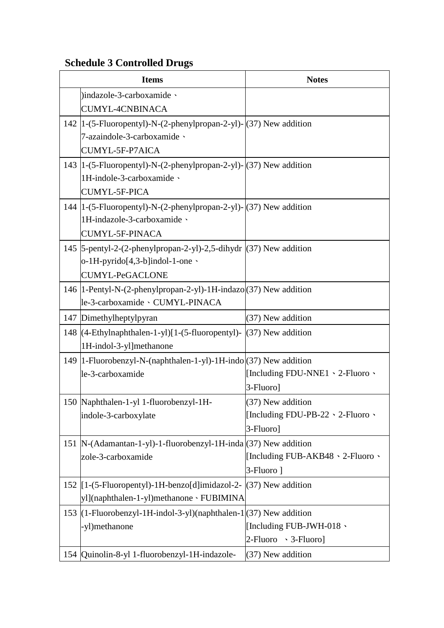| <b>Items</b>                                                                                                 | <b>Notes</b>                                  |
|--------------------------------------------------------------------------------------------------------------|-----------------------------------------------|
| )indazole-3-carboxamide \                                                                                    |                                               |
| <b>CUMYL-4CNBINACA</b>                                                                                       |                                               |
| 142  1-(5-Fluoropentyl)-N-(2-phenylpropan-2-yl)- (37) New addition                                           |                                               |
| 7-azaindole-3-carboxamide \                                                                                  |                                               |
| CUMYL-5F-P7AICA                                                                                              |                                               |
| 143  1-(5-Fluoropentyl)-N-(2-phenylpropan-2-yl)- (37) New addition                                           |                                               |
| 1H-indole-3-carboxamide \                                                                                    |                                               |
| CUMYL-5F-PICA                                                                                                |                                               |
| 144  1-(5-Fluoropentyl)-N-(2-phenylpropan-2-yl)- (37) New addition                                           |                                               |
| 1H-indazole-3-carboxamide \                                                                                  |                                               |
| <b>CUMYL-5F-PINACA</b>                                                                                       |                                               |
| 145   5-pentyl-2-(2-phenylpropan-2-yl)-2,5-dihydr   (37) New addition                                        |                                               |
| $o$ -1H-pyrido[4,3-b]indol-1-one $\cdot$                                                                     |                                               |
| <b>CUMYL-PeGACLONE</b>                                                                                       |                                               |
| 146  1-Pentyl-N-(2-phenylpropan-2-yl)-1H-indazo (37) New addition                                            |                                               |
| le-3-carboxamide · CUMYL-PINACA                                                                              |                                               |
| 147 Dimethylheptylpyran                                                                                      | (37) New addition                             |
| 148 $\left[\frac{(4-EthyInaphthalen-1-yI)}{1-(5-fluoropentyl)}\right]$ (37) New addition                     |                                               |
| 1H-indol-3-yl]methanone                                                                                      |                                               |
| 149   1-Fluorobenzyl-N-(naphthalen-1-yl)-1H-indo (37) New addition                                           |                                               |
| le-3-carboxamide                                                                                             | [Including FDU-NNE1 \ 2-Fluoro \              |
|                                                                                                              | 3-Fluoro]                                     |
| 150 Naphthalen-1-yl 1-fluorobenzyl-1H-                                                                       | $(37)$ New addition                           |
| indole-3-carboxylate                                                                                         | [Including FDU-PB-22 $\cdot$ 2-Fluoro $\cdot$ |
|                                                                                                              | 3-Fluoro]                                     |
| 151  N-(Adamantan-1-yl)-1-fluorobenzyl-1H-inda (37) New addition                                             |                                               |
| zole-3-carboxamide                                                                                           | [Including FUB-AKB48 \cdot 2-Fluoro \cdot     |
|                                                                                                              | 3-Fluoro 1                                    |
| 152 $\left[1-(5 - Fluoropentyl)-1H-benzofd\right]$ imidazol-2- $\left[\frac{(37)}{(37)}\right]$ New addition |                                               |
| yl](naphthalen-1-yl)methanone、FUBIMINA                                                                       |                                               |
| 153 $(1 - Fluorobenzyl - 1H-indol - 3 - yl)(naphthalen - 1)(37)$ New addition                                |                                               |
| -yl)methanone                                                                                                | [Including FUB-JWH-018 \                      |
|                                                                                                              | $2$ -Fluoro $\cdot$ 3-Fluoro]                 |
| 154 Quinolin-8-yl 1-fluorobenzyl-1H-indazole-                                                                | (37) New addition                             |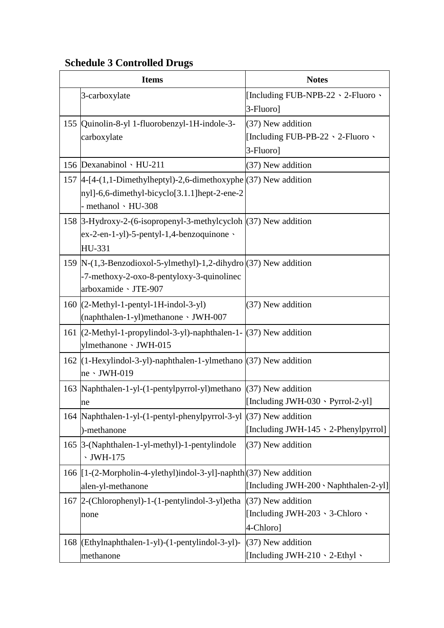| <b>Items</b>                                                          | <b>Notes</b>                             |
|-----------------------------------------------------------------------|------------------------------------------|
| 3-carboxylate                                                         | [Including FUB-NPB-22 \ 2-Fluoro \       |
|                                                                       | 3-Fluoro]                                |
| 155  Quinolin-8-yl 1-fluorobenzyl-1H-indole-3-                        | (37) New addition                        |
| carboxylate                                                           | [Including FUB-PB-22 \ 2-Fluoro \        |
|                                                                       | 3-Fluoro]                                |
| 156 Dexanabinol · HU-211                                              | (37) New addition                        |
| 157  4-[4-(1,1-Dimethylheptyl)-2,6-dimethoxyphe (37) New addition     |                                          |
| nyl]-6,6-dimethyl-bicyclo[3.1.1]hept-2-ene-2                          |                                          |
| - methanol · HU-308                                                   |                                          |
| 158   3-Hydroxy-2-(6-isopropenyl-3-methylcycloh   (37) New addition   |                                          |
| $ex-2-en-1-yl$ -5-pentyl-1,4-benzoquinone $\cdot$                     |                                          |
| HU-331                                                                |                                          |
| 159  N-(1,3-Benzodioxol-5-ylmethyl)-1,2-dihydro (37) New addition     |                                          |
| -7-methoxy-2-oxo-8-pentyloxy-3-quinolinec                             |                                          |
| arboxamide · JTE-907                                                  |                                          |
| $160$ (2-Methyl-1-pentyl-1H-indol-3-yl)                               | (37) New addition                        |
| (naphthalen-1-yl)methanone · JWH-007                                  |                                          |
| 161 (2-Methyl-1-propylindol-3-yl)-naphthalen-1- (37) New addition     |                                          |
| ylmethanone · JWH-015                                                 |                                          |
| 162 $(1-Hexylindol-3-yl)$ -naphthalen-1-ylmethano $(37)$ New addition |                                          |
| $ne \cdot JWH-019$                                                    |                                          |
| 163   Naphthalen-1-yl-(1-pentylpyrrol-yl) methano                     | $(37)$ New addition                      |
| ne                                                                    | [Including JWH-030 \ Pyrrol-2-yl]        |
| 164 Naphthalen-1-yl-(1-pentyl-phenylpyrrol-3-yl (37) New addition     |                                          |
| )-methanone                                                           | [Including JWH-145 \cdot 2-Phenylpyrrol] |
| 165 3-(Naphthalen-1-yl-methyl)-1-pentylindole                         | (37) New addition                        |
| $\cdot$ JWH-175                                                       |                                          |
| 166 [1-(2-Morpholin-4-ylethyl)indol-3-yl]-naphth (37) New addition    |                                          |
| alen-yl-methanone                                                     | [Including JWH-200 \ Naphthalen-2-yl]]   |
| 167 2-(Chlorophenyl)-1-(1-pentylindol-3-yl)etha                       | (37) New addition                        |
| none                                                                  | [Including JWH-203 \ 3-Chloro \          |
|                                                                       | 4-Chloro]                                |
| 168 (Ethylnaphthalen-1-yl)-(1-pentylindol-3-yl)-                      | (37) New addition                        |
| methanone                                                             | [Including JWH-210 \cdot 2-Ethyl \cdot   |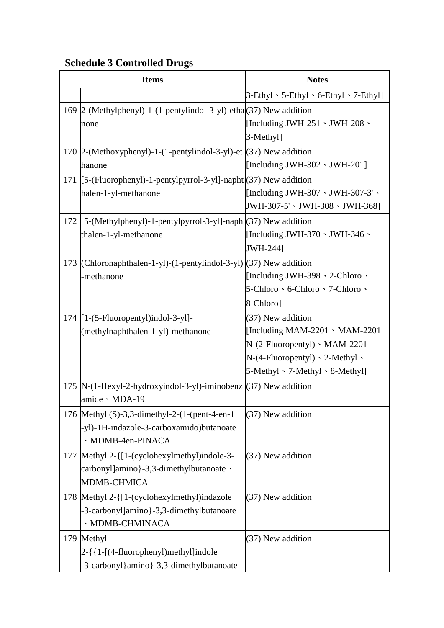| <b>Items</b>                                                                                                             | <b>Notes</b>                                                                                                                                                                   |
|--------------------------------------------------------------------------------------------------------------------------|--------------------------------------------------------------------------------------------------------------------------------------------------------------------------------|
|                                                                                                                          | $3$ -Ethyl $\cdot$ 5-Ethyl $\cdot$ 6-Ethyl $\cdot$ 7-Ethyl]                                                                                                                    |
| 169  2-(Methylphenyl)-1-(1-pentylindol-3-yl)-etha (37) New addition<br>none                                              | [Including JWH-251 $\cdot$ JWH-208 $\cdot$<br>3-Methyl]                                                                                                                        |
| 170  2-(Methoxyphenyl)-1-(1-pentylindol-3-yl)-et $ (37)$ New addition<br>hanone                                          | [Including JWH-302 $\cdot$ JWH-201]                                                                                                                                            |
| 171 [[5-(Fluorophenyl)-1-pentylpyrrol-3-yl]-napht (37) New addition<br>halen-1-yl-methanone                              | [Including JWH-307 \ JWH-307-3' \<br>JWH-307-5' 、 JWH-308 、 JWH-368]                                                                                                           |
| 172 [[5-(Methylphenyl)-1-pentylpyrrol-3-yl]-naph (37) New addition<br>thalen-1-yl-methanone                              | [Including JWH-370 $\cdot$ JWH-346 $\cdot$<br>JWH-244]                                                                                                                         |
| 173 (Chloronaphthalen-1-yl)-(1-pentylindol-3-yl) (37) New addition<br>-methanone                                         | [Including JWH-398 $\cdot$ 2-Chloro $\cdot$<br>5-Chloro 、6-Chloro 、7-Chloro 、<br>8-Chloro]                                                                                     |
| 174 $[1-(5-Fluoropently)]\text{indol-3-y}$ ]-<br>(methylnaphthalen-1-yl)-methanone                                       | (37) New addition<br>[Including MAM-2201 $\cdot$ MAM-2201<br>$N-(2-Fluoropently) \cdot MAM-2201$<br>$N-(4-Fluoropently) \cdot 2-Methyl \cdot$<br>5-Methyl 、7-Methyl 、8-Methyl] |
| 175  N- $(1$ -Hexyl-2-hydroxyindol-3-yl)-iminobenz $(37)$ New addition<br>amide · MDA-19                                 |                                                                                                                                                                                |
| 176   Methyl $(S)-3,3$ -dimethyl-2- $(1-(pent-4-en-1))$<br>-yl)-1H-indazole-3-carboxamido)butanoate<br>· MDMB-4en-PINACA | (37) New addition                                                                                                                                                              |
| 177   Methyl 2-{[1-(cyclohexylmethyl)indole-3-<br>carbonyl]amino}-3,3-dimethylbutanoate \<br>MDMB-CHMICA                 | (37) New addition                                                                                                                                                              |
| 178 Methyl 2-{[1-(cyclohexylmethyl)indazole<br>-3-carbonyl]amino}-3,3-dimethylbutanoate<br>· MDMB-CHMINACA               | (37) New addition                                                                                                                                                              |
| 179 Methyl<br>2-{{1-[(4-fluorophenyl)methyl]indole<br>-3-carbonyl}amino}-3,3-dimethylbutanoate                           | (37) New addition                                                                                                                                                              |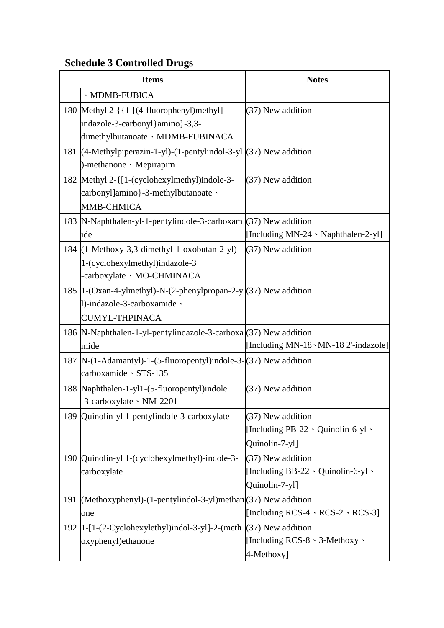| <b>Items</b>                                                                                                                    | <b>Notes</b>                                                                          |
|---------------------------------------------------------------------------------------------------------------------------------|---------------------------------------------------------------------------------------|
| · MDMB-FUBICA                                                                                                                   |                                                                                       |
| 180   Methyl 2-{{1-[(4-fluorophenyl) methyl]<br>indazole-3-carbonyl}amino}-3,3-<br>dimethylbutanoate · MDMB-FUBINACA            | (37) New addition                                                                     |
| 181 (4-Methylpiperazin-1-yl)-(1-pentylindol-3-yl (37) New addition<br>)-methanone · Mepirapim                                   |                                                                                       |
| 182 Methyl 2-{[1-(cyclohexylmethyl)indole-3-<br>carbonyl]amino}-3-methylbutanoate \<br>MMB-CHMICA                               | (37) New addition                                                                     |
| 183  N-Naphthalen-yl-1-pentylindole-3-carboxam (37) New addition<br>ide                                                         | [Including MN-24 \ Naphthalen-2-yl]                                                   |
| 184 (1-Methoxy-3,3-dimethyl-1-oxobutan-2-yl)-<br>1-(cyclohexylmethyl)indazole-3<br>-carboxylate · MO-CHMINACA                   | $(37)$ New addition                                                                   |
| 185  1-(Oxan-4-ylmethyl)-N- $(2$ -phenylpropan-2-y $ (37)$ New addition<br>1)-indazole-3-carboxamide \<br><b>CUMYL-THPINACA</b> |                                                                                       |
| 186  N-Naphthalen-1-yl-pentylindazole-3-carboxa (37) New addition<br>mide                                                       | [Including MN-18 \cdot MN-18 2'-indazole]]                                            |
| 187  N-(1-Adamantyl)-1-(5-fluoropentyl)indole-3-(37) New addition<br>carboxamide · STS-135                                      |                                                                                       |
| 188  Naphthalen-1-yl1-(5-fluoropentyl)indole<br>-3-carboxylate NM-2201                                                          | (37) New addition                                                                     |
| 189  Quinolin-yl 1-pentylindole-3-carboxylate                                                                                   | (37) New addition<br>[Including PB-22 $\cdot$ Quinolin-6-yl $\cdot$<br>Quinolin-7-yl] |
| 190 Quinolin-yl 1-(cyclohexylmethyl)-indole-3-<br>carboxylate                                                                   | (37) New addition<br>[Including BB-22 $\cdot$ Quinolin-6-yl $\cdot$<br>Quinolin-7-yl] |
| 191 (Methoxyphenyl)-(1-pentylindol-3-yl)methan (37) New addition<br>one                                                         | [Including RCS-4 $\cdot$ RCS-2 $\cdot$ RCS-3]                                         |
| $192$  1-[1-(2-Cyclohexylethyl)indol-3-yl]-2-(meth<br>oxyphenyl) ethanone                                                       | $(37)$ New addition<br>[Including RCS-8 $\cdot$ 3-Methoxy $\cdot$<br>4-Methoxy]       |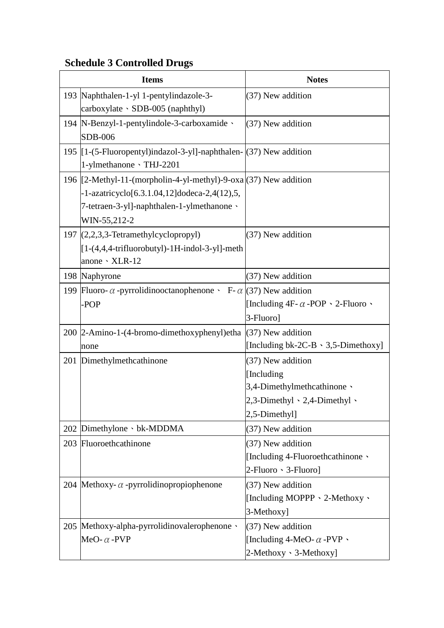| <b>Items</b>                                                                                                                                                                     | <b>Notes</b>                                                                                                      |
|----------------------------------------------------------------------------------------------------------------------------------------------------------------------------------|-------------------------------------------------------------------------------------------------------------------|
| 193 Naphthalen-1-yl 1-pentylindazole-3-<br>carboxylate · SDB-005 (naphthyl)                                                                                                      | (37) New addition                                                                                                 |
| 194   N-Benzyl-1-pentylindole-3-carboxamide \<br><b>SDB-006</b>                                                                                                                  | (37) New addition                                                                                                 |
| 195 $\left[1-(5 - Fluoropenty)\right]$ indazol-3-yl]-naphthalen- $\left[\right(37)\right]$ New addition<br>1-ylmethanone \THJ-2201                                               |                                                                                                                   |
| 196 $[2-Methyl-11-(morpholin-4-yl-methyl)-9-oxa](37)$ New addition<br>-1-azatricyclo[6.3.1.04,12]dodeca-2,4(12),5,<br>7-tetraen-3-yl]-naphthalen-1-ylmethanone \<br>WIN-55,212-2 |                                                                                                                   |
| 197 $(2,2,3,3$ -Tetramethylcyclopropyl)<br>$[1-(4,4,4-trifluorobutyl)-1H-indol-3-y1]$ -meth<br>anone · XLR-12                                                                    | (37) New addition                                                                                                 |
| 198 Naphyrone                                                                                                                                                                    | (37) New addition                                                                                                 |
| 199 Fluoro- $\alpha$ -pyrrolidinooctanophenone $\cdot$ F- $\alpha$ (37) New addition<br>-POP                                                                                     | [Including $4F - \alpha - POP \cdot 2$ -Fluoro $\cdot$<br>3-Fluoro]                                               |
| 200 2-Amino-1-(4-bromo-dimethoxyphenyl) etha<br>none                                                                                                                             | (37) New addition<br>[Including $bk-2C-B \cdot 3,5-Dimethoxy$ ]                                                   |
| 201 Dimethylmethcathinone                                                                                                                                                        | (37) New addition<br>[Including]<br>3,4-Dimethylmethcathinone \<br>2,3-Dimethyl · 2,4-Dimethyl ·<br>2,5-Dimethyl] |
| 202 Dimethylone · bk-MDDMA                                                                                                                                                       | (37) New addition                                                                                                 |
| 203 Fluoroethcathinone                                                                                                                                                           | (37) New addition<br>[Including 4-Fluoroethcathinone \<br>$2$ -Fluoro $\cdot$ 3-Fluoro]                           |
| 204 Methoxy- $\alpha$ -pyrrolidinopropiophenone                                                                                                                                  | (37) New addition<br>[Including MOPPP \ 2-Methoxy \<br>3-Methoxy]                                                 |
| 205 Methoxy-alpha-pyrrolidinovalerophenone v<br>MeO- $\alpha$ -PVP                                                                                                               | (37) New addition<br>[Including 4-MeO- $\alpha$ -PVP $\cdot$<br>2-Methoxy · 3-Methoxy]                            |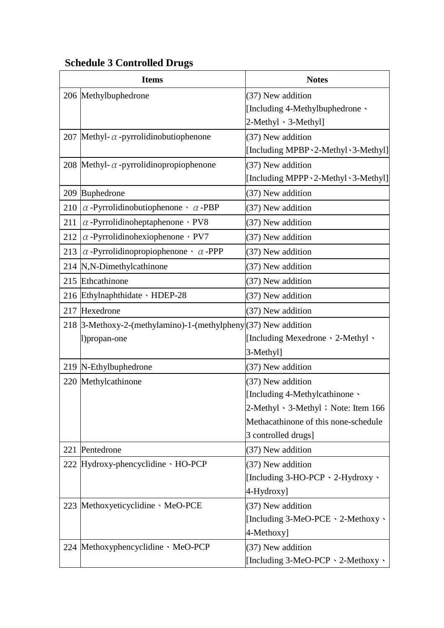|     | <b>Items</b>                                                   | <b>Notes</b>                                    |
|-----|----------------------------------------------------------------|-------------------------------------------------|
|     | 206 Methylbuphedrone                                           | (37) New addition                               |
|     |                                                                | [Including 4-Methylbuphedrone $\cdot$           |
|     |                                                                | 2-Methyl 、3-Methyl]                             |
|     | 207 Methyl- $\alpha$ -pyrrolidinobutiophenone                  | (37) New addition                               |
|     |                                                                | [Including MPBP \ 2-Methyl \ 3-Methyl]          |
|     | 208 Methyl- $\alpha$ -pyrrolidinopropiophenone                 | (37) New addition                               |
|     |                                                                | [Including MPPP \ 2-Methyl \ 3-Methyl]          |
|     | 209 Buphedrone                                                 | (37) New addition                               |
| 210 | $\alpha$ -Pyrrolidinobutiophenone $\cdot$ $\alpha$ -PBP        | (37) New addition                               |
| 211 | $\alpha$ -Pyrrolidinoheptaphenone · PV8                        | (37) New addition                               |
| 212 | $\alpha$ -Pyrrolidinohexiophenone · PV7                        | (37) New addition                               |
| 213 | $\alpha$ -Pyrrolidinopropiophenone $\cdot$ $\alpha$ -PPP       | (37) New addition                               |
|     | 214 N,N-Dimethylcathinone                                      | (37) New addition                               |
|     | 215 Ethcathinone                                               | (37) New addition                               |
|     | 216 Ethylnaphthidate MDEP-28                                   | (37) New addition                               |
|     | 217 Hexedrone                                                  | (37) New addition                               |
|     | 218 3-Methoxy-2-(methylamino)-1-(methylpheny (37) New addition |                                                 |
|     | l)propan-one                                                   | [Including Mexedrone \ 2-Methyl \               |
|     |                                                                | 3-Methyl]                                       |
|     | 219 N-Ethylbuphedrone                                          | (37) New addition                               |
|     | 220 Methylcathinone                                            | (37) New addition                               |
|     |                                                                | [Including 4-Methylcathinone \                  |
|     |                                                                | $2-Methyl \cdot 3-Methyl \cdot Note$ : Item 166 |
|     |                                                                | Methacathinone of this none-schedule            |
|     |                                                                | 3 controlled drugs]                             |
|     | 221 Pentedrone                                                 | (37) New addition                               |
|     | 222 Hydroxy-phencyclidine · HO-PCP                             | $(37)$ New addition                             |
|     |                                                                | [Including 3-HO-PCP \cdot 2-Hydroxy \cdot       |
|     |                                                                | 4-Hydroxy]                                      |
|     | 223 Methoxyeticyclidine MeO-PCE                                | $(37)$ New addition                             |
|     |                                                                | [Including 3-MeO-PCE \ 2-Methoxy \              |
|     |                                                                | 4-Methoxy]                                      |
|     | 224 Methoxyphencyclidine MeO-PCP                               | $(37)$ New addition                             |
|     |                                                                | [Including 3-MeO-PCP \ 2-Methoxy \              |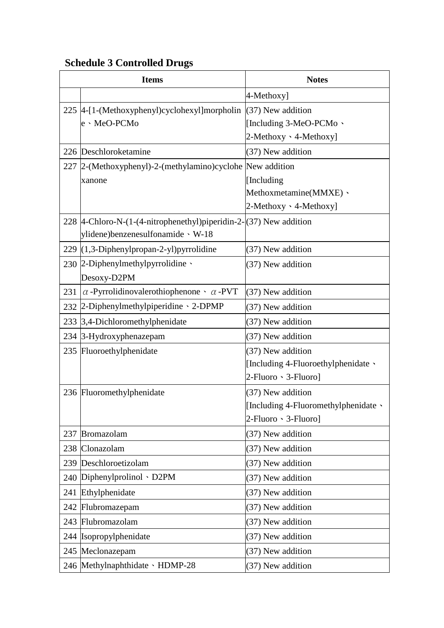|     | <b>Items</b>                                                              | <b>Notes</b>                         |
|-----|---------------------------------------------------------------------------|--------------------------------------|
|     |                                                                           | 4-Methoxy]                           |
|     | 225 4-[1-(Methoxyphenyl)cyclohexyl]morpholin                              | (37) New addition                    |
|     | e · MeO-PCMo                                                              | [Including 3-MeO-PCMo $\cdot$        |
|     |                                                                           | 2-Methoxy · 4-Methoxy]               |
|     | 226 Deschloroketamine                                                     | (37) New addition                    |
|     | 227  2-(Methoxyphenyl)-2-(methylamino)cyclohe  New addition               |                                      |
|     | xanone                                                                    | [Including                           |
|     |                                                                           | Methoxmetamine(MMXE) \               |
|     |                                                                           | 2-Methoxy · 4-Methoxy]               |
|     | 228 $ 4$ -Chloro-N- $(1-(4-nitrophenethyl)piperidin-2-(37))$ New addition |                                      |
|     | ylidene)benzenesulfonamide · W-18                                         |                                      |
|     | 229 (1,3-Diphenylpropan-2-yl) pyrrolidine                                 | (37) New addition                    |
|     | 230 2-Diphenylmethylpyrrolidine $\cdot$                                   | (37) New addition                    |
|     | Desoxy-D2PM                                                               |                                      |
| 231 | $\alpha$ -Pyrrolidinovalerothiophenone $\alpha$ -PVT                      | (37) New addition                    |
|     | 232 2-Diphenylmethylpiperidine > 2-DPMP                                   | (37) New addition                    |
|     | 233 3,4-Dichloromethylphenidate                                           | (37) New addition                    |
|     | 234 3-Hydroxyphenazepam                                                   | (37) New addition                    |
|     | 235 Fluoroethylphenidate                                                  | (37) New addition                    |
|     |                                                                           | [Including 4-Fluoroethylphenidate \  |
|     |                                                                           | 2-Fluoro > 3-Fluoro]                 |
|     | 236 Fluoromethylphenidate                                                 | (37) New addition                    |
|     |                                                                           | [Including 4-Fluoromethylphenidate \ |
|     |                                                                           | 2-Fluoro · 3-Fluoro]                 |
|     | 237 Bromazolam                                                            | (37) New addition                    |
|     | 238 Clonazolam                                                            | (37) New addition                    |
|     | 239 Deschloroetizolam                                                     | (37) New addition                    |
|     | 240 Diphenylprolinol $\cdot$ D2PM                                         | (37) New addition                    |
| 241 | Ethylphenidate                                                            | (37) New addition                    |
|     | 242 Flubromazepam                                                         | (37) New addition                    |
|     | 243 Flubromazolam                                                         | (37) New addition                    |
|     | 244 Isopropylphenidate                                                    | (37) New addition                    |
|     | 245 Meclonazepam                                                          | (37) New addition                    |
|     | 246 Methylnaphthidate · HDMP-28                                           | (37) New addition                    |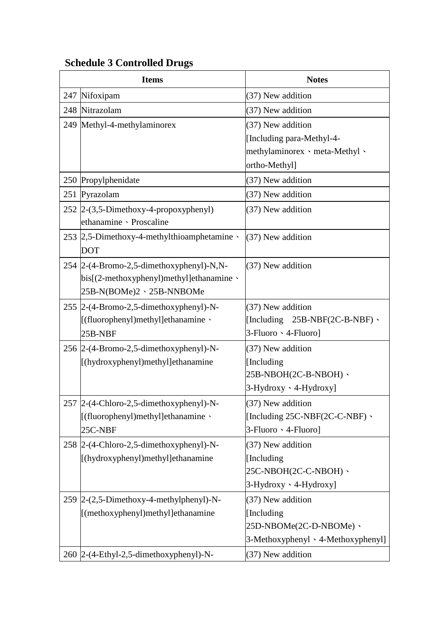| <b>Items</b>                                                                                                          | <b>Notes</b>                                                                                      |
|-----------------------------------------------------------------------------------------------------------------------|---------------------------------------------------------------------------------------------------|
| 247 Nifoxipam                                                                                                         | (37) New addition                                                                                 |
| 248 Nitrazolam                                                                                                        | (37) New addition                                                                                 |
| 249 Methyl-4-methylaminorex                                                                                           | (37) New addition<br>[Including para-Methyl-4-<br>methylaminorex meta-Methyl v<br>ortho-Methyl]   |
| 250 Propylphenidate                                                                                                   | (37) New addition                                                                                 |
| 251 Pyrazolam                                                                                                         | (37) New addition                                                                                 |
| 252 $ 2-(3,5-Dimethoxy-4-propoxyphenyl) $<br>ethanamine > Proscaline                                                  | (37) New addition                                                                                 |
| 253 2,5-Dimethoxy-4-methylthioamphetamine<br><b>DOT</b>                                                               | (37) New addition                                                                                 |
| 254 2-(4-Bromo-2,5-dimethoxyphenyl)-N,N-<br>$bis[(2-methoxyphenyl)methyl]ethanamine \cdot$<br>25B-N(BOMe)2、25B-NNBOMe | (37) New addition                                                                                 |
| 255 2-(4-Bromo-2,5-dimethoxyphenyl)-N-<br>[(fluorophenyl)methyl]ethanamine \<br>25B-NBF                               | (37) New addition<br>[Including $25B-NBF(2C-B-NBF)$ $\cdot$<br>3-Fluoro · 4-Fluoro]               |
| 256 2-(4-Bromo-2,5-dimethoxyphenyl)-N-<br>[(hydroxyphenyl)methyl]ethanamine                                           | (37) New addition<br>[Including]<br>$25B-NBOH(2C-B-NBOH)$<br>3-Hydroxy · 4-Hydroxy]               |
| 257 2-(4-Chloro-2,5-dimethoxyphenyl)-N-<br>[(fluorophenyl)methyl]ethanamine \<br>25C-NBF                              | (37) New addition<br>[Including $25C$ -NBF $(2C$ -C-NBF) $\cdot$<br>3-Fluoro · 4-Fluoro]          |
| 258 2-(4-Chloro-2,5-dimethoxyphenyl)-N-<br>[(hydroxyphenyl)methyl]ethanamine                                          | (37) New addition<br>[Including]<br>25C-NBOH(2C-C-NBOH) 、<br>3-Hydroxy · 4-Hydroxy]               |
| $259$ 2- $(2,5$ -Dimethoxy-4-methylphenyl)-N-<br>[(methoxyphenyl)methyl]ethanamine                                    | (37) New addition<br>[Including]<br>25D-NBOMe(2C-D-NBOMe) 、<br>3-Methoxyphenyl · 4-Methoxyphenyl] |
| 260 2-(4-Ethyl-2,5-dimethoxyphenyl)-N-                                                                                | (37) New addition                                                                                 |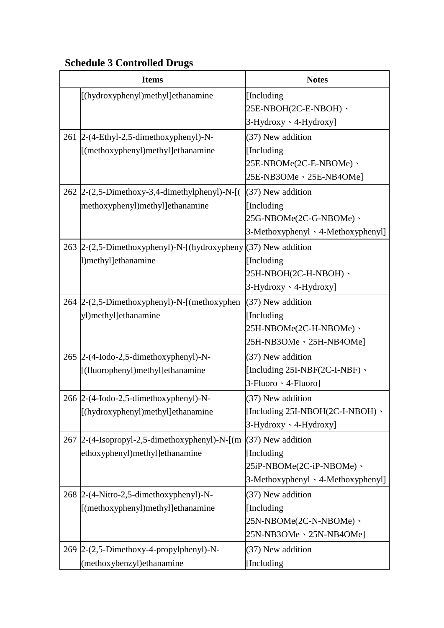| <b>Items</b>                                                                                            | <b>Notes</b>                             |
|---------------------------------------------------------------------------------------------------------|------------------------------------------|
| [(hydroxyphenyl)methyl]ethanamine                                                                       | [Including]                              |
|                                                                                                         | 25E-NBOH(2C-E-NBOH) 、                    |
|                                                                                                         | $3-Hydroxy \cdot 4-Hydroxy$              |
| 261 2-(4-Ethyl-2,5-dimethoxyphenyl)-N-                                                                  | (37) New addition                        |
| [(methoxyphenyl)methyl]ethanamine                                                                       | [Including]                              |
|                                                                                                         | 25E-NBOMe(2C-E-NBOMe) 、                  |
|                                                                                                         | 25E-NB3OMe \ 25E-NB4OMe]                 |
| 262 2-(2,5-Dimethoxy-3,4-dimethylphenyl)-N-[(                                                           | $(37)$ New addition                      |
| methoxyphenyl)methyl]ethanamine                                                                         | [Including]                              |
|                                                                                                         | 25G-NBOMe(2C-G-NBOMe) 、                  |
|                                                                                                         | 3-Methoxyphenyl · 4-Methoxyphenyl]       |
| 263 $\left 2-(2,5\text{-Dimethoxyphenyl})-N-\left[\text{(hydroxypheny)}\right](37)\right $ New addition |                                          |
| 1)methyl]ethanamine                                                                                     | [Including]                              |
|                                                                                                         | 25H-NBOH(2C-H-NBOH)、                     |
|                                                                                                         | 3-Hydroxy · 4-Hydroxy]                   |
| 264 2-(2,5-Dimethoxyphenyl)-N-[(methoxyphen                                                             | $(37)$ New addition                      |
| yl)methyl]ethanamine                                                                                    | [Including]                              |
|                                                                                                         | 25H-NBOMe(2C-H-NBOMe) 、                  |
|                                                                                                         | 25H-NB3OMe、25H-NB4OMe]                   |
| 265 2-(4-Iodo-2,5-dimethoxyphenyl)-N-                                                                   | (37) New addition                        |
| [(fluorophenyl)methyl]ethanamine                                                                        | [Including 25I-NBF(2C-I-NBF) \           |
|                                                                                                         | $3$ -Fluoro $\cdot$ 4-Fluoro]            |
| 266 2-(4-Iodo-2,5-dimethoxyphenyl)-N-                                                                   | (37) New addition                        |
| [(hydroxyphenyl)methyl]ethanamine                                                                       | [Including $25I-NBOH(2C-I-NBOH)$ $\cdot$ |
|                                                                                                         | $3-Hydroxy \cdot 4-Hydroxy$              |
| 267 2-(4-Isopropyl-2,5-dimethoxyphenyl)-N- $\left[\frac{m}{37}\right]$ New addition                     |                                          |
| ethoxyphenyl)methyl]ethanamine                                                                          | [Including]                              |
|                                                                                                         | 25iP-NBOMe(2C-iP-NBOMe) 、                |
|                                                                                                         | $3-Methoxyphenyl \cdot 4-Methoxyphenyl$  |
| 268 2-(4-Nitro-2,5-dimethoxyphenyl)-N-                                                                  | (37) New addition                        |
| [(methoxyphenyl)methyl]ethanamine                                                                       | [Including]                              |
|                                                                                                         | 25N-NBOMe(2C-N-NBOMe) 、                  |
|                                                                                                         | 25N-NB3OMe \ 25N-NB4OMe]                 |
| 269 2-(2,5-Dimethoxy-4-propylphenyl)-N-                                                                 | (37) New addition                        |
| (methoxybenzyl) ethanamine                                                                              | [Including                               |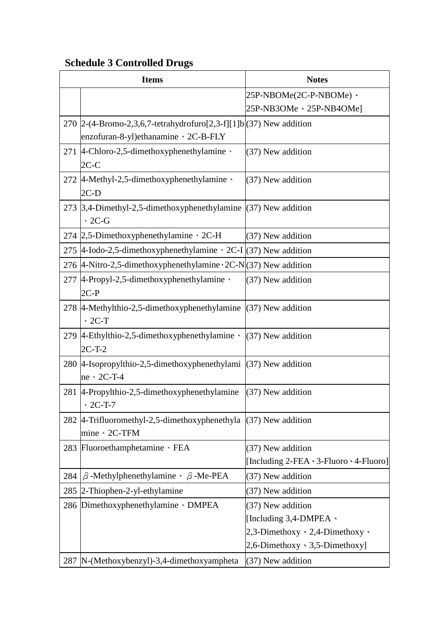|     | <b>Items</b>                                                                    | <b>Notes</b>                                |
|-----|---------------------------------------------------------------------------------|---------------------------------------------|
|     |                                                                                 | 25P-NBOMe(2C-P-NBOMe) 、                     |
|     |                                                                                 | 25P-NB3OMe \ 25P-NB4OMe]                    |
|     | 270 2-(4-Bromo-2,3,6,7-tetrahydrofuro[2,3-f][1]b $(37)$ New addition            |                                             |
|     | enzofuran-8-yl) ethanamine > 2C-B-FLY                                           |                                             |
|     | 271 4-Chloro-2,5-dimethoxyphenethylamine                                        | (37) New addition                           |
|     | $2C-C$                                                                          |                                             |
|     | 272 4-Methyl-2,5-dimethoxyphenethylamine                                        | (37) New addition                           |
|     | $2C-D$                                                                          |                                             |
|     | 273 $\vert 3,4$ -Dimethyl-2,5-dimethoxyphenethylamine $\vert (37)$ New addition |                                             |
|     | $\cdot$ 2C-G                                                                    |                                             |
|     | 274 2,5-Dimethoxyphenethylamine $\cdot$ 2C-H                                    | (37) New addition                           |
|     | 275  4-Iodo-2,5-dimethoxyphenethylamine $\cdot$ 2C-I $(37)$ New addition        |                                             |
|     | 276 4-Nitro-2,5-dimethoxyphenethylamine $2C-N(37)$ New addition                 |                                             |
|     | 277 4-Propyl-2,5-dimethoxyphenethylamine \                                      | (37) New addition                           |
|     | $2C-P$                                                                          |                                             |
|     | 278 $ 4$ -Methylthio-2,5-dimethoxyphenethylamine $ (37)$ New addition           |                                             |
|     | $\cdot$ 2C-T                                                                    |                                             |
|     | 279 $ 4$ -Ethylthio-2,5-dimethoxyphenethylamine $\cdot$ (37) New addition       |                                             |
|     | $2C-T-2$                                                                        |                                             |
|     | 280 4-Isopropylthio-2,5-dimethoxyphenethylami (37) New addition                 |                                             |
|     | $ne \cdot 2C-T-4$                                                               |                                             |
|     | 281 4-Propylthio-2,5-dimethoxyphenethylamine                                    | $(37)$ New addition                         |
|     | $\cdot$ 2C-T-7                                                                  |                                             |
|     | 282   4-Trifluoromethyl-2,5-dimethoxyphenethyla $(37)$ New addition             |                                             |
|     | mine > 2C-TFM                                                                   |                                             |
|     | 283 Fluoroethamphetamine · FEA                                                  | (37) New addition                           |
|     |                                                                                 | [Including 2-FEA \ 3-Fluoro \ 4-Fluoro]     |
| 284 | $\beta$ -Methylphenethylamine $\cdot$ $\beta$ -Me-PEA                           | (37) New addition                           |
|     | 285 2-Thiophen-2-yl-ethylamine                                                  | (37) New addition                           |
|     | 286 Dimethoxyphenethylamine DMPEA                                               | (37) New addition                           |
|     |                                                                                 | [Including $3,4$ -DMPEA $\cdot$             |
|     |                                                                                 | 2,3-Dimethoxy $\cdot$ 2,4-Dimethoxy $\cdot$ |
|     |                                                                                 | $2,6$ -Dimethoxy $\cdot$ 3,5-Dimethoxy]     |
| 287 | N-(Methoxybenzyl)-3,4-dimethoxyampheta                                          | (37) New addition                           |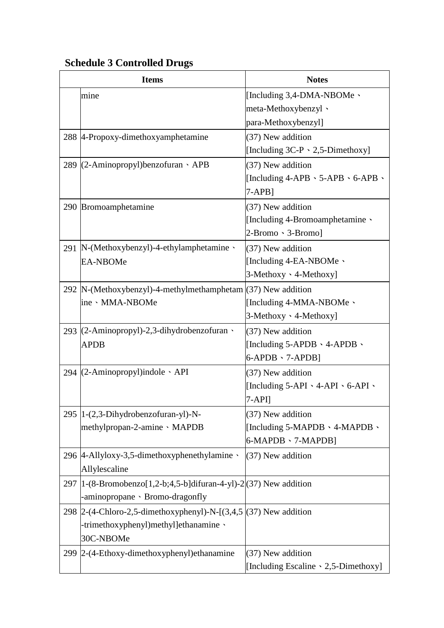| <b>Items</b>                                                             | <b>Notes</b>                                            |
|--------------------------------------------------------------------------|---------------------------------------------------------|
| mine                                                                     | [Including $3,4$ -DMA-NBOMe $\cdot$                     |
|                                                                          | meta-Methoxybenzyl 、                                    |
|                                                                          | para-Methoxybenzyl]                                     |
| 288 4-Propoxy-dimethoxyamphetamine                                       | (37) New addition                                       |
|                                                                          | [Including $3C-P \cdot 2,5-Dimethoxy$ ]                 |
| 289 (2-Aminopropyl)benzofuran · APB                                      | (37) New addition                                       |
|                                                                          | [Including $4$ -APB $\cdot$ 5-APB $\cdot$ 6-APB $\cdot$ |
|                                                                          | $7-APB$ ]                                               |
| 290 Bromoamphetamine                                                     | (37) New addition                                       |
|                                                                          | [Including 4-Bromoamphetamine $\cdot$                   |
|                                                                          | $2-Pi$ romo $\cdot$ 3-Bromo]                            |
| 291 N-(Methoxybenzyl)-4-ethylamphetamine                                 | $(37)$ New addition                                     |
| <b>EA-NBOMe</b>                                                          | [Including 4-EA-NBOMe $\cdot$                           |
|                                                                          | $3-Methoxy \cdot 4-Methoxy$                             |
| 292  N-(Methoxybenzyl)-4-methylmethamphetam $(37)$ New addition          |                                                         |
| ine · MMA-NBOMe                                                          | [Including 4-MMA-NBOMe $\cdot$                          |
|                                                                          | 3-Methoxy · 4-Methoxy]                                  |
| 293 (2-Aminopropyl)-2,3-dihydrobenzofuran                                | $(37)$ New addition                                     |
| <b>APDB</b>                                                              | [Including 5-APDB $\cdot$ 4-APDB $\cdot$                |
|                                                                          | $6-APDB \cdot 7-APDB$ ]                                 |
| 294 $(2-Aminopropyl)$ indole $\cdot$ API                                 | (37) New addition                                       |
|                                                                          | [Including $5-API \cdot 4-API \cdot 6-API \cdot$        |
|                                                                          | $7-API$                                                 |
| 295   1-(2,3-Dihydrobenzofuran-yl)-N-                                    | (37) New addition                                       |
| methylpropan-2-amine · MAPDB                                             | [Including 5-MAPDB \ 4-MAPDB \                          |
|                                                                          | 6-MAPDB > 7-MAPDB]                                      |
| 296 4-Allyloxy-3,5-dimethoxyphenethylamine                               | $(37)$ New addition                                     |
| Allylescaline                                                            |                                                         |
| 297 $ 1-(8-Bromobenzo[1,2-b;4,5-b]$ difuran-4-yl)-2 $ (37)$ New addition |                                                         |
| -aminopropane · Bromo-dragonfly                                          |                                                         |
| 298   2-(4-Chloro-2,5-dimethoxyphenyl)-N- $[(3,4,5)(37)$ New addition    |                                                         |
| -trimethoxyphenyl)methyl]ethanamine                                      |                                                         |
| 30C-NBOMe                                                                |                                                         |
| 299 2-(4-Ethoxy-dimethoxyphenyl) ethanamine                              | (37) New addition                                       |
|                                                                          | [Including Escaline \ 2,5-Dimethoxy]                    |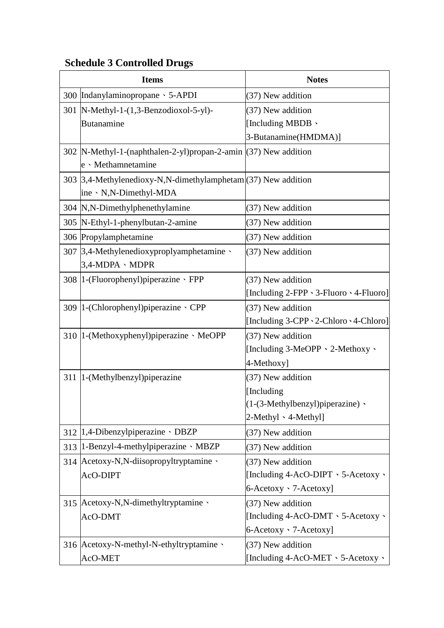|     | <b>Items</b>                                                                             | <b>Notes</b>                                       |
|-----|------------------------------------------------------------------------------------------|----------------------------------------------------|
| 300 | Indanylaminopropane > 5-APDI                                                             | (37) New addition                                  |
| 301 | $[N-Methyl-1-(1,3-Benzodioxol-5-y])$ -                                                   | (37) New addition                                  |
|     | <b>Butanamine</b>                                                                        | [Including MBDB \                                  |
|     |                                                                                          | 3-Butanamine(HMDMA)]                               |
|     | 302  N-Methyl-1-(naphthalen-2-yl)propan-2-amin (37) New addition<br>e · Methamnetamine   |                                                    |
|     | 303 [3,4-Methylenedioxy-N,N-dimethylamphetam](37) New addition<br>ine · N,N-Dimethyl-MDA |                                                    |
|     | 304 N,N-Dimethylphenethylamine                                                           | (37) New addition                                  |
|     | 305  N-Ethyl-1-phenylbutan-2-amine                                                       | (37) New addition                                  |
|     | 306 Propylamphetamine                                                                    | (37) New addition                                  |
| 307 | $\beta$ ,4-Methylenedioxyproplyamphetamine $\cdot$<br>3,4-MDPA · MDPR                    | (37) New addition                                  |
|     | 308   1-(Fluorophenyl) piperazine · FPP                                                  | (37) New addition                                  |
|     |                                                                                          | [Including 2-FPP \ 3-Fluoro \ 4-Fluoro]            |
|     | 309   1-(Chlorophenyl) piperazine · CPP                                                  | (37) New addition                                  |
|     |                                                                                          | [Including 3-CPP \ 2-Chloro \ 4-Chloro]            |
|     | 310   1-(Methoxyphenyl) piperazine · MeOPP                                               | (37) New addition                                  |
|     |                                                                                          | [Including 3-MeOPP · 2-Methoxy ·                   |
|     |                                                                                          | 4-Methoxy]                                         |
| 311 | 1-(Methylbenzyl) piperazine                                                              | (37) New addition                                  |
|     |                                                                                          | [Including]                                        |
|     |                                                                                          | (1-(3-Methylbenzyl)piperazine) ·                   |
|     |                                                                                          | $2$ -Methyl $\cdot$ 4-Methyl]                      |
|     | 312   1,4-Dibenzylpiperazine 、DBZP                                                       | (37) New addition                                  |
| 313 | $1$ -Benzyl-4-methylpiperazine $\cdot$ MBZP                                              | (37) New addition                                  |
| 314 | Acetoxy-N,N-diisopropyltryptamine v                                                      | (37) New addition                                  |
|     | AcO-DIPT                                                                                 | [Including $4$ -AcO-DIPT $\cdot$ 5-Acetoxy $\cdot$ |
|     |                                                                                          | 6-Acetoxy · 7-Acetoxy]                             |
| 315 | Acetoxy-N,N-dimethyltryptamine                                                           | (37) New addition                                  |
|     | AcO-DMT                                                                                  | [Including 4-AcO-DMT \ 5-Acetoxy \                 |
|     |                                                                                          | 6-Acetoxy · 7-Acetoxy]                             |
|     | 316 Acetoxy-N-methyl-N-ethyltryptamine                                                   | (37) New addition                                  |
|     | AcO-MET                                                                                  | [Including 4-AcO-MET > 5-Acetoxy >                 |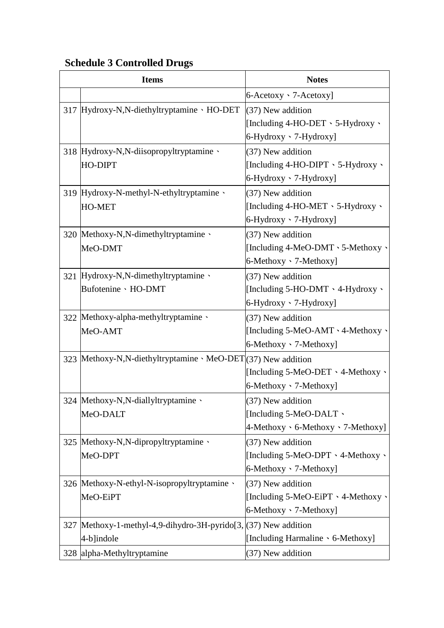| <b>Items</b>                                                      | <b>Notes</b>                                   |
|-------------------------------------------------------------------|------------------------------------------------|
|                                                                   | $6$ -Acetoxy $\cdot$ 7-Acetoxy]                |
| 317 Hydroxy-N,N-diethyltryptamine · HO-DET                        | $(37)$ New addition                            |
|                                                                   | [Including 4-HO-DET $\cdot$ 5-Hydroxy $\cdot$  |
|                                                                   | 6-Hydroxy · 7-Hydroxy]                         |
| 318 Hydroxy-N,N-diisopropyltryptamine                             | $(37)$ New addition                            |
| HO-DIPT                                                           | [Including 4-HO-DIPT $\cdot$ 5-Hydroxy $\cdot$ |
|                                                                   | $6$ -Hydroxy $\cdot$ 7-Hydroxy]                |
| 319 Hydroxy-N-methyl-N-ethyltryptamine \                          | (37) New addition                              |
| HO-MET                                                            | [Including 4-HO-MET $\cdot$ 5-Hydroxy $\cdot$  |
|                                                                   | $6$ -Hydroxy $\cdot$ 7-Hydroxy]                |
| 320 Methoxy-N,N-dimethyltryptamine                                | $(37)$ New addition                            |
| MeO-DMT                                                           | [Including 4-MeO-DMT \ 5-Methoxy \             |
|                                                                   | 6-Methoxy · 7-Methoxy]                         |
| 321 Hydroxy-N,N-dimethyltryptamine                                | (37) New addition                              |
| Bufotenine · HO-DMT                                               | [Including 5-HO-DMT \ 4-Hydroxy \              |
|                                                                   | $6$ -Hydroxy $\cdot$ 7-Hydroxy]                |
| 322 Methoxy-alpha-methyltryptamine                                | $(37)$ New addition                            |
| MeO-AMT                                                           | [Including 5-MeO-AMT \ 4-Methoxy \             |
|                                                                   | $6$ -Methoxy $\cdot$ 7-Methoxy]                |
| 323 Methoxy-N,N-diethyltryptamine · MeO-DET(37) New addition      |                                                |
|                                                                   | [Including 5-MeO-DET \ 4-Methoxy \             |
|                                                                   | 6-Methoxy · 7-Methoxy]                         |
| 324 Methoxy-N,N-diallyltryptamine \                               | (37) New addition                              |
| MeO-DALT                                                          | [Including 5-MeO-DALT $\cdot$                  |
|                                                                   | $4-Methoxy \cdot 6-Methoxy \cdot 7-Methoxy]$   |
| 325 Methoxy-N,N-dipropyltryptamine                                | (37) New addition                              |
| MeO-DPT                                                           | [Including 5-MeO-DPT \ 4-Methoxy \             |
|                                                                   | $6$ -Methoxy $\cdot$ 7-Methoxy]                |
| 326  Methoxy-N-ethyl-N-isopropyltryptamine \                      | $(37)$ New addition                            |
| MeO-EiPT                                                          | [Including 5-MeO-EiPT \ 4-Methoxy \            |
|                                                                   | 6-Methoxy · 7-Methoxy]                         |
| 327   Methoxy-1-methyl-4,9-dihydro-3H-pyrido[3, (37) New addition |                                                |
| $4-b$ ]indole                                                     | [Including Harmaline \code 6-Methoxy]          |
| 328 alpha-Methyltryptamine                                        | (37) New addition                              |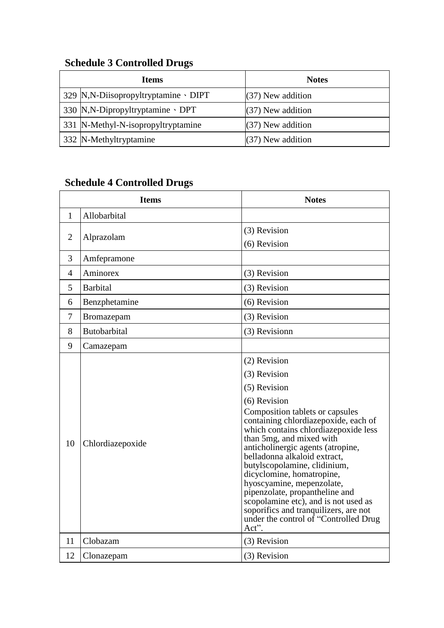| <b>Items</b>                                            | <b>Notes</b>        |
|---------------------------------------------------------|---------------------|
| 329 $\mathbb{N}$ , N-Diisopropyltryptamine $\cdot$ DIPT | $(37)$ New addition |
| 330 $N$ , N-Dipropyltryptamine $\cdot$ DPT              | $(37)$ New addition |
| 331 N-Methyl-N-isopropyltryptamine                      | $(37)$ New addition |
| 332 N-Methyltryptamine                                  | $(37)$ New addition |

|                | <b>Items</b>        | <b>Notes</b>                                                                                                                                                                                                                                                                                                                                                                                                                                                                                                                                    |
|----------------|---------------------|-------------------------------------------------------------------------------------------------------------------------------------------------------------------------------------------------------------------------------------------------------------------------------------------------------------------------------------------------------------------------------------------------------------------------------------------------------------------------------------------------------------------------------------------------|
| 1              | Allobarbital        |                                                                                                                                                                                                                                                                                                                                                                                                                                                                                                                                                 |
| $\overline{2}$ | Alprazolam          | (3) Revision<br>(6) Revision                                                                                                                                                                                                                                                                                                                                                                                                                                                                                                                    |
| 3              | Amfepramone         |                                                                                                                                                                                                                                                                                                                                                                                                                                                                                                                                                 |
| $\overline{4}$ | Aminorex            | (3) Revision                                                                                                                                                                                                                                                                                                                                                                                                                                                                                                                                    |
| 5              | <b>Barbital</b>     | (3) Revision                                                                                                                                                                                                                                                                                                                                                                                                                                                                                                                                    |
| 6              | Benzphetamine       | (6) Revision                                                                                                                                                                                                                                                                                                                                                                                                                                                                                                                                    |
| $\overline{7}$ | Bromazepam          | (3) Revision                                                                                                                                                                                                                                                                                                                                                                                                                                                                                                                                    |
| 8              | <b>Butobarbital</b> | (3) Revisionn                                                                                                                                                                                                                                                                                                                                                                                                                                                                                                                                   |
| 9              | Camazepam           |                                                                                                                                                                                                                                                                                                                                                                                                                                                                                                                                                 |
| 10             | Chlordiazepoxide    | (2) Revision<br>(3) Revision<br>(5) Revision<br>(6) Revision<br>Composition tablets or capsules<br>containing chlordiazepoxide, each of<br>which contains chlordiazepoxide less<br>than 5mg, and mixed with<br>anticholinergic agents (atropine,<br>belladonna alkaloid extract,<br>butylscopolamine, clidinium,<br>dicyclomine, homatropine,<br>hyoscyamine, mepenzolate,<br>pipenzolate, propantheline and<br>scopolamine etc), and is not used as<br>soporifics and tranquilizers, are not<br>under the control of "Controlled Drug<br>Act". |
| 11             | Clobazam            | (3) Revision                                                                                                                                                                                                                                                                                                                                                                                                                                                                                                                                    |
| 12             | Clonazepam          | (3) Revision                                                                                                                                                                                                                                                                                                                                                                                                                                                                                                                                    |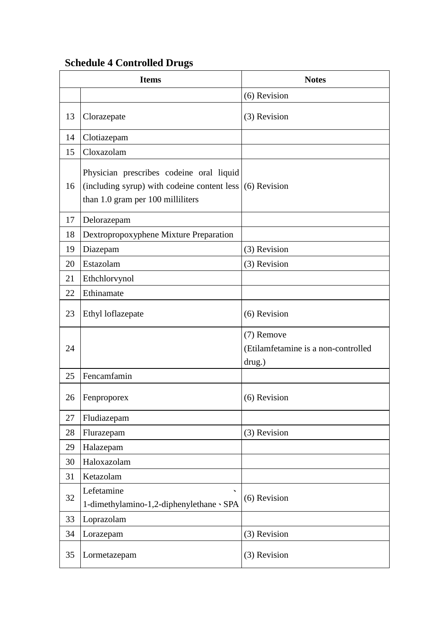|    | <b>Items</b>                                                                                                                                | <b>Notes</b>                                                |
|----|---------------------------------------------------------------------------------------------------------------------------------------------|-------------------------------------------------------------|
|    |                                                                                                                                             | (6) Revision                                                |
| 13 | Clorazepate                                                                                                                                 | (3) Revision                                                |
| 14 | Clotiazepam                                                                                                                                 |                                                             |
| 15 | Cloxazolam                                                                                                                                  |                                                             |
| 16 | Physician prescribes codeine oral liquid<br>(including syrup) with codeine content less $(6)$ Revision<br>than 1.0 gram per 100 milliliters |                                                             |
| 17 | Delorazepam                                                                                                                                 |                                                             |
| 18 | Dextropropoxyphene Mixture Preparation                                                                                                      |                                                             |
| 19 | Diazepam                                                                                                                                    | (3) Revision                                                |
| 20 | Estazolam                                                                                                                                   | (3) Revision                                                |
| 21 | Ethchlorvynol                                                                                                                               |                                                             |
| 22 | Ethinamate                                                                                                                                  |                                                             |
| 23 | Ethyl loflazepate                                                                                                                           | (6) Revision                                                |
| 24 |                                                                                                                                             | (7) Remove<br>(Etilamfetamine is a non-controlled<br>drug.) |
| 25 | Fencamfamin                                                                                                                                 |                                                             |
| 26 | Fenproporex                                                                                                                                 | (6) Revision                                                |
| 27 | Fludiazepam                                                                                                                                 |                                                             |
| 28 | Flurazepam                                                                                                                                  | (3) Revision                                                |
| 29 | Halazepam                                                                                                                                   |                                                             |
| 30 | Haloxazolam                                                                                                                                 |                                                             |
| 31 | Ketazolam                                                                                                                                   |                                                             |
| 32 | Lefetamine<br>1-dimethylamino-1,2-diphenylethane · SPA                                                                                      | (6) Revision                                                |
| 33 | Loprazolam                                                                                                                                  |                                                             |
| 34 | Lorazepam                                                                                                                                   | (3) Revision                                                |
| 35 | Lormetazepam                                                                                                                                | (3) Revision                                                |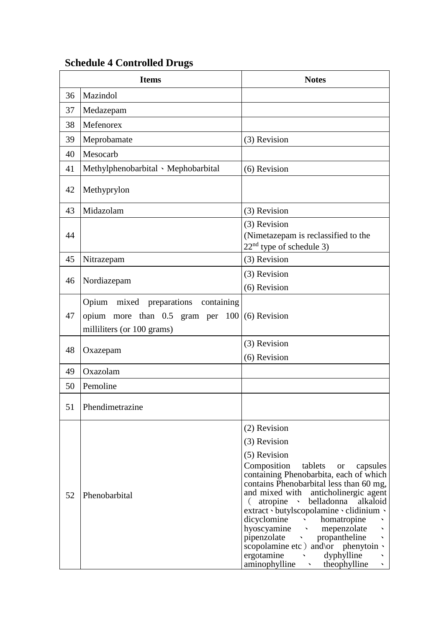|    | <b>Items</b>                                                                                                 | <b>Notes</b>                                                                                                                                                                                                                                                                                                                                                                                                                                                                                                                            |
|----|--------------------------------------------------------------------------------------------------------------|-----------------------------------------------------------------------------------------------------------------------------------------------------------------------------------------------------------------------------------------------------------------------------------------------------------------------------------------------------------------------------------------------------------------------------------------------------------------------------------------------------------------------------------------|
| 36 | Mazindol                                                                                                     |                                                                                                                                                                                                                                                                                                                                                                                                                                                                                                                                         |
| 37 | Medazepam                                                                                                    |                                                                                                                                                                                                                                                                                                                                                                                                                                                                                                                                         |
| 38 | Mefenorex                                                                                                    |                                                                                                                                                                                                                                                                                                                                                                                                                                                                                                                                         |
| 39 | Meprobamate                                                                                                  | (3) Revision                                                                                                                                                                                                                                                                                                                                                                                                                                                                                                                            |
| 40 | Mesocarb                                                                                                     |                                                                                                                                                                                                                                                                                                                                                                                                                                                                                                                                         |
| 41 | Methylphenobarbital · Mephobarbital                                                                          | (6) Revision                                                                                                                                                                                                                                                                                                                                                                                                                                                                                                                            |
| 42 | Methyprylon                                                                                                  |                                                                                                                                                                                                                                                                                                                                                                                                                                                                                                                                         |
| 43 | Midazolam                                                                                                    | (3) Revision                                                                                                                                                                                                                                                                                                                                                                                                                                                                                                                            |
| 44 |                                                                                                              | (3) Revision<br>(Nimetazepam is reclassified to the<br>$22nd$ type of schedule 3)                                                                                                                                                                                                                                                                                                                                                                                                                                                       |
| 45 | Nitrazepam                                                                                                   | (3) Revision                                                                                                                                                                                                                                                                                                                                                                                                                                                                                                                            |
| 46 | Nordiazepam                                                                                                  | (3) Revision                                                                                                                                                                                                                                                                                                                                                                                                                                                                                                                            |
|    |                                                                                                              | (6) Revision                                                                                                                                                                                                                                                                                                                                                                                                                                                                                                                            |
| 47 | Opium mixed preparations<br>containing<br>opium more than $0.5$ gram per $100$<br>milliliters (or 100 grams) | (6) Revision                                                                                                                                                                                                                                                                                                                                                                                                                                                                                                                            |
| 48 | Oxazepam                                                                                                     | (3) Revision<br>(6) Revision                                                                                                                                                                                                                                                                                                                                                                                                                                                                                                            |
| 49 | Oxazolam                                                                                                     |                                                                                                                                                                                                                                                                                                                                                                                                                                                                                                                                         |
| 50 | Pemoline                                                                                                     |                                                                                                                                                                                                                                                                                                                                                                                                                                                                                                                                         |
| 51 | Phendimetrazine                                                                                              |                                                                                                                                                                                                                                                                                                                                                                                                                                                                                                                                         |
|    |                                                                                                              | (2) Revision                                                                                                                                                                                                                                                                                                                                                                                                                                                                                                                            |
|    |                                                                                                              | (3) Revision                                                                                                                                                                                                                                                                                                                                                                                                                                                                                                                            |
| 52 | Phenobarbital                                                                                                | (5) Revision<br>Composition<br>tablets<br>capsules<br><b>or</b><br>containing Phenobarbita, each of which<br>contains Phenobarbital less than 60 mg,<br>and mixed with anticholinergic agent<br>(atropine belladonna<br>alkaloid<br>extract · butylscopolamine · clidinium ·<br>dicyclomine<br>homatropine<br>$\sim 10^{-10}$<br>hyoscyamine<br>mepenzolate<br>propantheline<br>pipenzolate<br>scopolamine etc ) and or phenytoin $\cdot$<br>ergotamine<br>dyphylline<br>$\sim$ $\sim$<br>aminophylline<br>theophylline<br>$\mathbf{v}$ |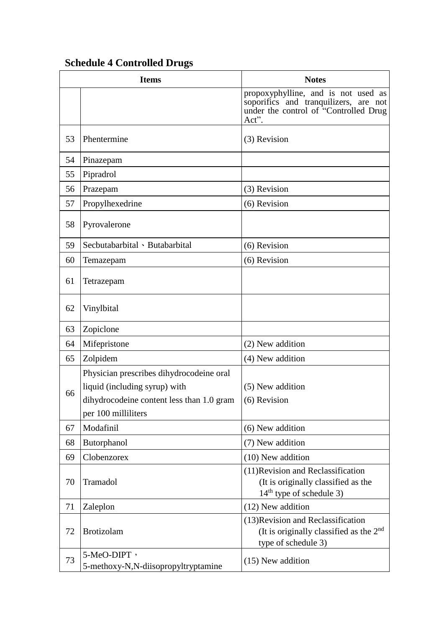|    | <b>Items</b>                                                                                                                                  | <b>Notes</b>                                                                                                                   |
|----|-----------------------------------------------------------------------------------------------------------------------------------------------|--------------------------------------------------------------------------------------------------------------------------------|
|    |                                                                                                                                               | propoxyphylline, and is not used as<br>soporifics and tranquilizers, are not<br>under the control of "Controlled Drug<br>Act". |
| 53 | Phentermine                                                                                                                                   | (3) Revision                                                                                                                   |
| 54 | Pinazepam                                                                                                                                     |                                                                                                                                |
| 55 | Pipradrol                                                                                                                                     |                                                                                                                                |
| 56 | Prazepam                                                                                                                                      | (3) Revision                                                                                                                   |
| 57 | Propylhexedrine                                                                                                                               | (6) Revision                                                                                                                   |
| 58 | Pyrovalerone                                                                                                                                  |                                                                                                                                |
| 59 | Secbutabarbital · Butabarbital                                                                                                                | (6) Revision                                                                                                                   |
| 60 | Temazepam                                                                                                                                     | (6) Revision                                                                                                                   |
| 61 | Tetrazepam                                                                                                                                    |                                                                                                                                |
| 62 | Vinylbital                                                                                                                                    |                                                                                                                                |
| 63 | Zopiclone                                                                                                                                     |                                                                                                                                |
| 64 | Mifepristone                                                                                                                                  | (2) New addition                                                                                                               |
| 65 | Zolpidem                                                                                                                                      | (4) New addition                                                                                                               |
| 66 | Physician prescribes dihydrocodeine oral<br>liquid (including syrup) with<br>dihydrocodeine content less than 1.0 gram<br>per 100 milliliters | (5) New addition<br>$(6)$ Revision                                                                                             |
| 67 | Modafinil                                                                                                                                     | (6) New addition                                                                                                               |
| 68 | Butorphanol                                                                                                                                   | (7) New addition                                                                                                               |
| 69 | Clobenzorex                                                                                                                                   | $(10)$ New addition                                                                                                            |
| 70 | Tramadol                                                                                                                                      | (11) Revision and Reclassification<br>(It is originally classified as the<br>$14th$ type of schedule 3)                        |
| 71 | Zaleplon                                                                                                                                      | (12) New addition                                                                                                              |
| 72 | <b>Brotizolam</b>                                                                                                                             | (13) Revision and Reclassification<br>(It is originally classified as the $2nd$<br>type of schedule 3)                         |
| 73 | 5-MeO-DIPT,<br>5-methoxy-N,N-diisopropyltryptamine                                                                                            | $(15)$ New addition                                                                                                            |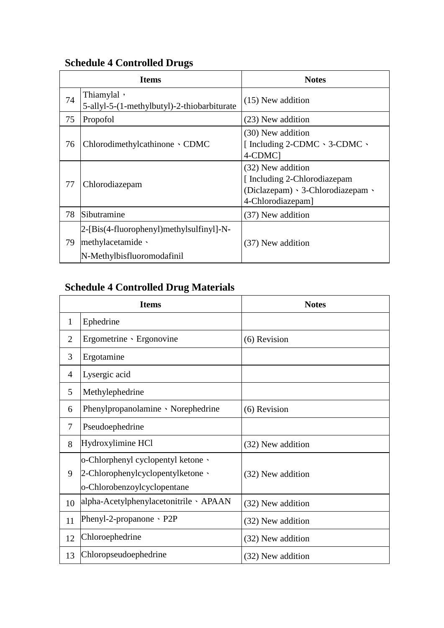|    | <b>Items</b>                                                                                      | <b>Notes</b>                                                                                                            |
|----|---------------------------------------------------------------------------------------------------|-------------------------------------------------------------------------------------------------------------------------|
| 74 | Thiamylal,<br>5-allyl-5-(1-methylbutyl)-2-thiobarbiturate                                         | $(15)$ New addition                                                                                                     |
| 75 | Propofol                                                                                          | (23) New addition                                                                                                       |
| 76 | Chlorodimethylcathinone $\cdot$ CDMC                                                              | (30) New addition<br>[Including 2-CDMC $\cdot$ 3-CDMC $\cdot$<br>4-CDMC]                                                |
| 77 | Chlorodiazepam                                                                                    | (32) New addition<br>[Including 2-Chlorodiazepam]<br>(Diclazepam) $\cdot$ 3-Chlorodiazepam $\cdot$<br>4-Chlorodiazepam] |
| 78 | Sibutramine                                                                                       | (37) New addition                                                                                                       |
| 79 | 2-[Bis(4-fluorophenyl)methylsulfinyl]-N-<br>$methylacetamide \cdot$<br>N-Methylbisfluoromodafinil | (37) New addition                                                                                                       |

# **Schedule 4 Controlled Drug Materials**

|                | <b>Items</b>                                                                                           | <b>Notes</b>      |
|----------------|--------------------------------------------------------------------------------------------------------|-------------------|
| $\mathbf{1}$   | Ephedrine                                                                                              |                   |
| $\overline{2}$ | Ergometrine · Ergonovine                                                                               | (6) Revision      |
| 3              | Ergotamine                                                                                             |                   |
| 4              | Lysergic acid                                                                                          |                   |
| 5              | Methylephedrine                                                                                        |                   |
| 6              | Phenylpropanolamine Norephedrine                                                                       | (6) Revision      |
| 7              | Pseudoephedrine                                                                                        |                   |
| 8              | Hydroxylimine HCl                                                                                      | (32) New addition |
| 9              | o-Chlorphenyl cyclopentyl ketone \<br>2-Chlorophenylcyclopentylketone \<br>o-Chlorobenzoylcyclopentane | (32) New addition |
| 10             | alpha-Acetylphenylacetonitrile · APAAN                                                                 | (32) New addition |
| 11             | Phenyl-2-propanone $\cdot$ P2P                                                                         | (32) New addition |
| 12             | Chloroephedrine                                                                                        | (32) New addition |
| 13             | Chloropseudoephedrine                                                                                  | (32) New addition |